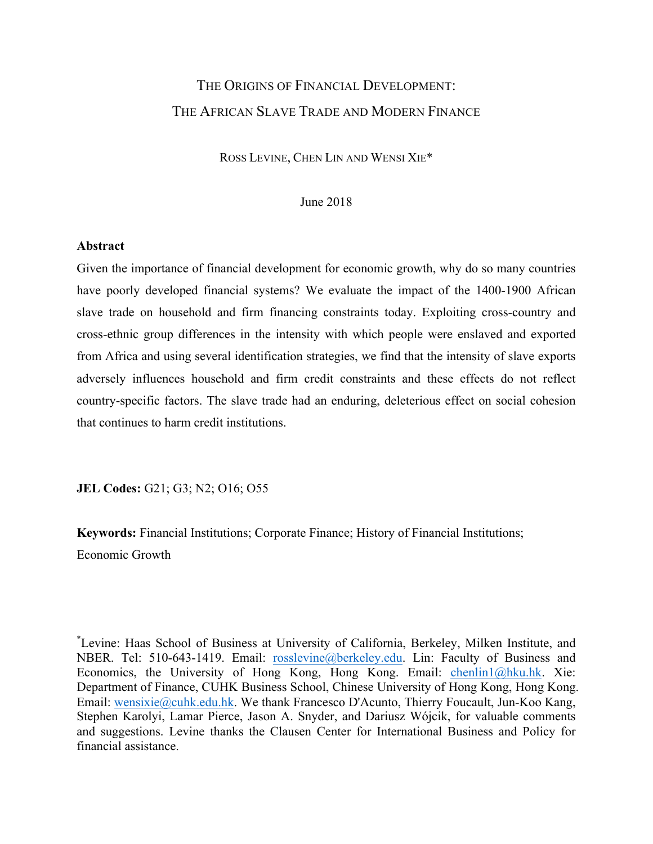# THE ORIGINS OF FINANCIAL DEVELOPMENT: THE AFRICAN SLAVE TRADE AND MODERN FINANCE

ROSS LEVINE, CHEN LIN AND WENSI XIE\*

June 2018

### **Abstract**

Given the importance of financial development for economic growth, why do so many countries have poorly developed financial systems? We evaluate the impact of the 1400-1900 African slave trade on household and firm financing constraints today. Exploiting cross-country and cross-ethnic group differences in the intensity with which people were enslaved and exported from Africa and using several identification strategies, we find that the intensity of slave exports adversely influences household and firm credit constraints and these effects do not reflect country-specific factors. The slave trade had an enduring, deleterious effect on social cohesion that continues to harm credit institutions.

**JEL Codes:** G21; G3; N2; O16; O55

**Keywords:** Financial Institutions; Corporate Finance; History of Financial Institutions; Economic Growth

\* Levine: Haas School of Business at University of California, Berkeley, Milken Institute, and NBER. Tel: 510-643-1419. Email: [rosslevine@berkeley.edu](mailto:rosslevine@berkeley.edu). Lin: Faculty of Business and Economics, the University of Hong Kong, Hong Kong. Email: [chenlin1@hku.hk](mailto:chenlin1@hku.hk). Xie: Department of Finance, CUHK Business School, Chinese University of Hong Kong, Hong Kong. Email: [wensixie@cuhk.edu.hk](mailto:wensixie@cuhk.edu.hk). We thank Francesco D'Acunto, Thierry Foucault, Jun-Koo Kang, Stephen Karolyi, Lamar Pierce, Jason A. Snyder, and Dariusz Wójcik, for valuable comments and suggestions. Levine thanks the Clausen Center for International Business and Policy for financial assistance.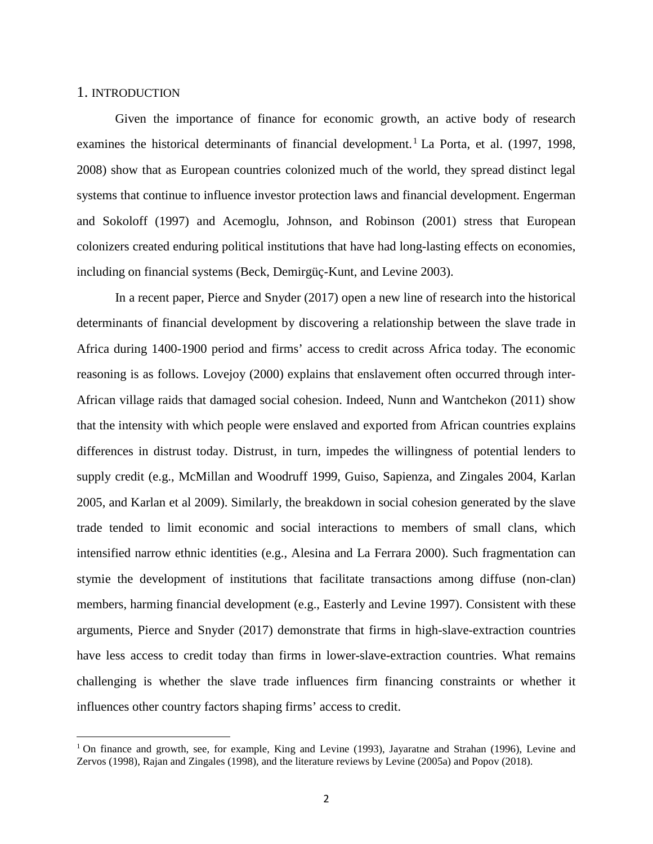### 1. INTRODUCTION

l

Given the importance of finance for economic growth, an active body of research examines the historical determinants of financial development.<sup>[1](#page-1-0)</sup> La Porta, et al. (1997, 1998, 2008) show that as European countries colonized much of the world, they spread distinct legal systems that continue to influence investor protection laws and financial development. Engerman and Sokoloff (1997) and Acemoglu, Johnson, and Robinson (2001) stress that European colonizers created enduring political institutions that have had long-lasting effects on economies, including on financial systems (Beck, Demirgüç-Kunt, and Levine 2003).

In a recent paper, Pierce and Snyder (2017) open a new line of research into the historical determinants of financial development by discovering a relationship between the slave trade in Africa during 1400-1900 period and firms' access to credit across Africa today. The economic reasoning is as follows. Lovejoy (2000) explains that enslavement often occurred through inter-African village raids that damaged social cohesion. Indeed, Nunn and Wantchekon (2011) show that the intensity with which people were enslaved and exported from African countries explains differences in distrust today. Distrust, in turn, impedes the willingness of potential lenders to supply credit (e.g., McMillan and Woodruff 1999, Guiso, Sapienza, and Zingales 2004, Karlan 2005, and Karlan et al 2009). Similarly, the breakdown in social cohesion generated by the slave trade tended to limit economic and social interactions to members of small clans, which intensified narrow ethnic identities (e.g., Alesina and La Ferrara 2000). Such fragmentation can stymie the development of institutions that facilitate transactions among diffuse (non-clan) members, harming financial development (e.g., Easterly and Levine 1997). Consistent with these arguments, Pierce and Snyder (2017) demonstrate that firms in high-slave-extraction countries have less access to credit today than firms in lower-slave-extraction countries. What remains challenging is whether the slave trade influences firm financing constraints or whether it influences other country factors shaping firms' access to credit.

<span id="page-1-0"></span><sup>&</sup>lt;sup>1</sup> On finance and growth, see, for example, King and Levine (1993), Jayaratne and Strahan (1996), Levine and Zervos (1998), Rajan and Zingales (1998), and the literature reviews by Levine (2005a) and Popov (2018).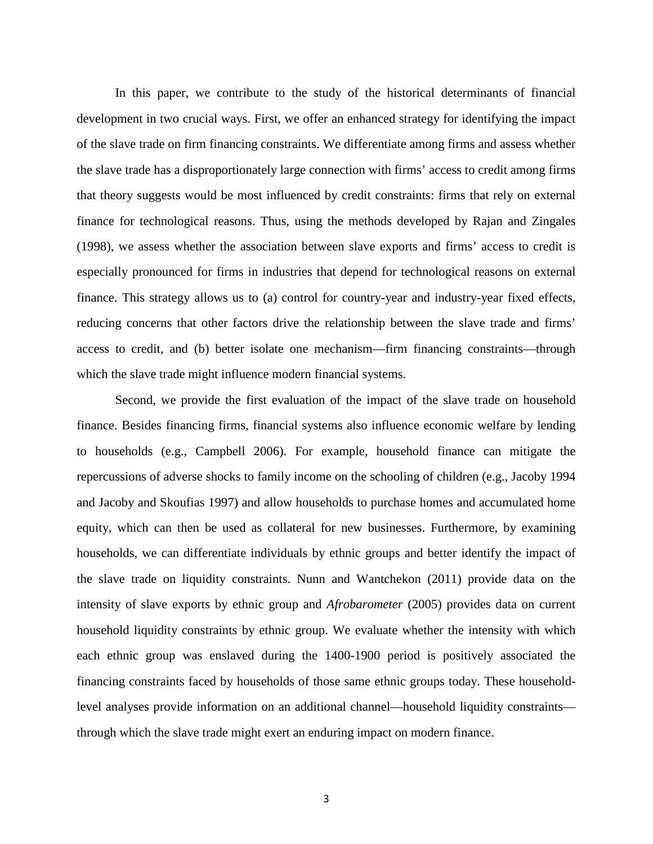In this paper, we contribute to the study of the historical determinants of financial development in two crucial ways. First, we offer an enhanced strategy for identifying the impact of the slave trade on firm financing constraints. We differentiate among firms and assess whether the slave trade has a disproportionately large connection with firms' access to credit among firms that theory suggests would be most influenced by credit constraints: firms that rely on external finance for technological reasons. Thus, using the methods developed by Rajan and Zingales (1998), we assess whether the association between slave exports and firms' access to credit is especially pronounced for firms in industries that depend for technological reasons on external finance. This strategy allows us to (a) control for country-year and industry-year fixed effects, reducing concerns that other factors drive the relationship between the slave trade and firms' access to credit, and (b) better isolate one mechanism—firm financing constraints—through which the slave trade might influence modern financial systems.

Second, we provide the first evaluation of the impact of the slave trade on household finance. Besides financing firms, financial systems also influence economic welfare by lending to households (e.g., Campbell 2006). For example, household finance can mitigate the repercussions of adverse shocks to family income on the schooling of children (e.g., Jacoby 1994 and Jacoby and Skoufias 1997) and allow households to purchase homes and accumulated home equity, which can then be used as collateral for new businesses. Furthermore, by examining households, we can differentiate individuals by ethnic groups and better identify the impact of the slave trade on liquidity constraints. Nunn and Wantchekon (2011) provide data on the intensity of slave exports by ethnic group and *Afrobarometer* (2005) provides data on current household liquidity constraints by ethnic group. We evaluate whether the intensity with which each ethnic group was enslaved during the 1400-1900 period is positively associated the financing constraints faced by households of those same ethnic groups today. These householdlevel analyses provide information on an additional channel—household liquidity constraints through which the slave trade might exert an enduring impact on modern finance.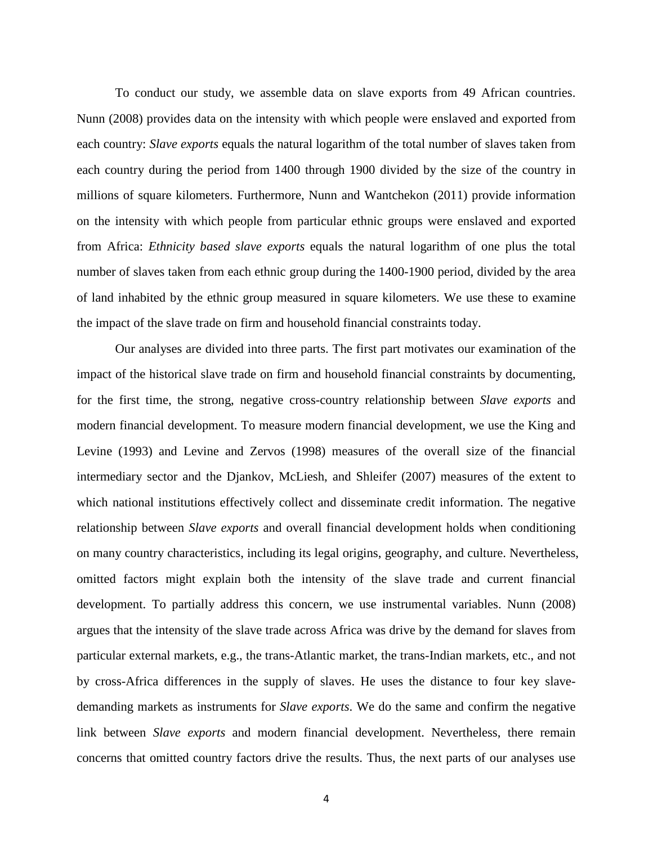To conduct our study, we assemble data on slave exports from 49 African countries. Nunn (2008) provides data on the intensity with which people were enslaved and exported from each country: *Slave exports* equals the natural logarithm of the total number of slaves taken from each country during the period from 1400 through 1900 divided by the size of the country in millions of square kilometers. Furthermore, Nunn and Wantchekon (2011) provide information on the intensity with which people from particular ethnic groups were enslaved and exported from Africa: *Ethnicity based slave exports* equals the natural logarithm of one plus the total number of slaves taken from each ethnic group during the 1400-1900 period, divided by the area of land inhabited by the ethnic group measured in square kilometers. We use these to examine the impact of the slave trade on firm and household financial constraints today.

Our analyses are divided into three parts. The first part motivates our examination of the impact of the historical slave trade on firm and household financial constraints by documenting, for the first time, the strong, negative cross-country relationship between *Slave exports* and modern financial development. To measure modern financial development, we use the King and Levine (1993) and Levine and Zervos (1998) measures of the overall size of the financial intermediary sector and the Djankov, McLiesh, and Shleifer (2007) measures of the extent to which national institutions effectively collect and disseminate credit information. The negative relationship between *Slave exports* and overall financial development holds when conditioning on many country characteristics, including its legal origins, geography, and culture. Nevertheless, omitted factors might explain both the intensity of the slave trade and current financial development. To partially address this concern, we use instrumental variables. Nunn (2008) argues that the intensity of the slave trade across Africa was drive by the demand for slaves from particular external markets, e.g., the trans-Atlantic market, the trans-Indian markets, etc., and not by cross-Africa differences in the supply of slaves. He uses the distance to four key slavedemanding markets as instruments for *Slave exports*. We do the same and confirm the negative link between *Slave exports* and modern financial development. Nevertheless, there remain concerns that omitted country factors drive the results. Thus, the next parts of our analyses use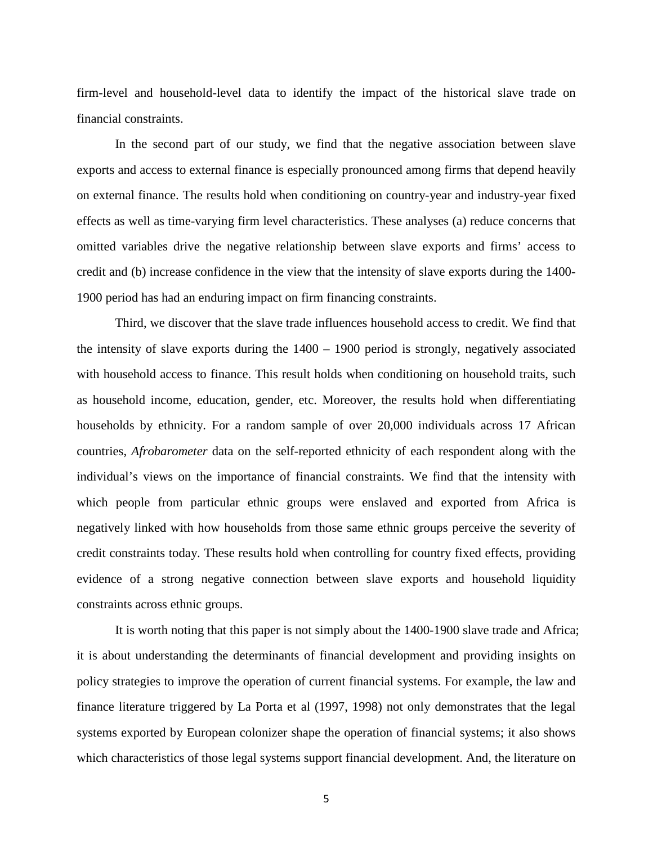firm-level and household-level data to identify the impact of the historical slave trade on financial constraints.

In the second part of our study, we find that the negative association between slave exports and access to external finance is especially pronounced among firms that depend heavily on external finance. The results hold when conditioning on country-year and industry-year fixed effects as well as time-varying firm level characteristics. These analyses (a) reduce concerns that omitted variables drive the negative relationship between slave exports and firms' access to credit and (b) increase confidence in the view that the intensity of slave exports during the 1400- 1900 period has had an enduring impact on firm financing constraints.

Third, we discover that the slave trade influences household access to credit. We find that the intensity of slave exports during the 1400 – 1900 period is strongly, negatively associated with household access to finance. This result holds when conditioning on household traits, such as household income, education, gender, etc. Moreover, the results hold when differentiating households by ethnicity. For a random sample of over 20,000 individuals across 17 African countries, *Afrobarometer* data on the self-reported ethnicity of each respondent along with the individual's views on the importance of financial constraints. We find that the intensity with which people from particular ethnic groups were enslaved and exported from Africa is negatively linked with how households from those same ethnic groups perceive the severity of credit constraints today. These results hold when controlling for country fixed effects, providing evidence of a strong negative connection between slave exports and household liquidity constraints across ethnic groups.

It is worth noting that this paper is not simply about the 1400-1900 slave trade and Africa; it is about understanding the determinants of financial development and providing insights on policy strategies to improve the operation of current financial systems. For example, the law and finance literature triggered by La Porta et al (1997, 1998) not only demonstrates that the legal systems exported by European colonizer shape the operation of financial systems; it also shows which characteristics of those legal systems support financial development. And, the literature on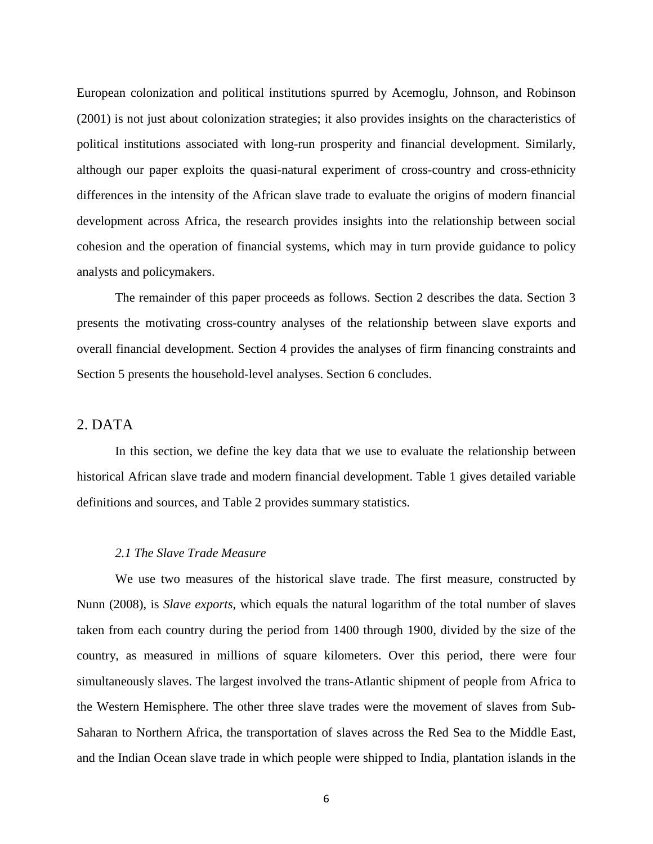European colonization and political institutions spurred by Acemoglu, Johnson, and Robinson (2001) is not just about colonization strategies; it also provides insights on the characteristics of political institutions associated with long-run prosperity and financial development. Similarly, although our paper exploits the quasi-natural experiment of cross-country and cross-ethnicity differences in the intensity of the African slave trade to evaluate the origins of modern financial development across Africa, the research provides insights into the relationship between social cohesion and the operation of financial systems, which may in turn provide guidance to policy analysts and policymakers.

The remainder of this paper proceeds as follows. Section 2 describes the data. Section 3 presents the motivating cross-country analyses of the relationship between slave exports and overall financial development. Section 4 provides the analyses of firm financing constraints and Section 5 presents the household-level analyses. Section 6 concludes.

# 2. DATA

In this section, we define the key data that we use to evaluate the relationship between historical African slave trade and modern financial development. Table 1 gives detailed variable definitions and sources, and Table 2 provides summary statistics.

### *2.1 The Slave Trade Measure*

We use two measures of the historical slave trade. The first measure, constructed by Nunn (2008), is *Slave exports*, which equals the natural logarithm of the total number of slaves taken from each country during the period from 1400 through 1900, divided by the size of the country, as measured in millions of square kilometers. Over this period, there were four simultaneously slaves. The largest involved the trans-Atlantic shipment of people from Africa to the Western Hemisphere. The other three slave trades were the movement of slaves from Sub-Saharan to Northern Africa, the transportation of slaves across the Red Sea to the Middle East, and the Indian Ocean slave trade in which people were shipped to India, plantation islands in the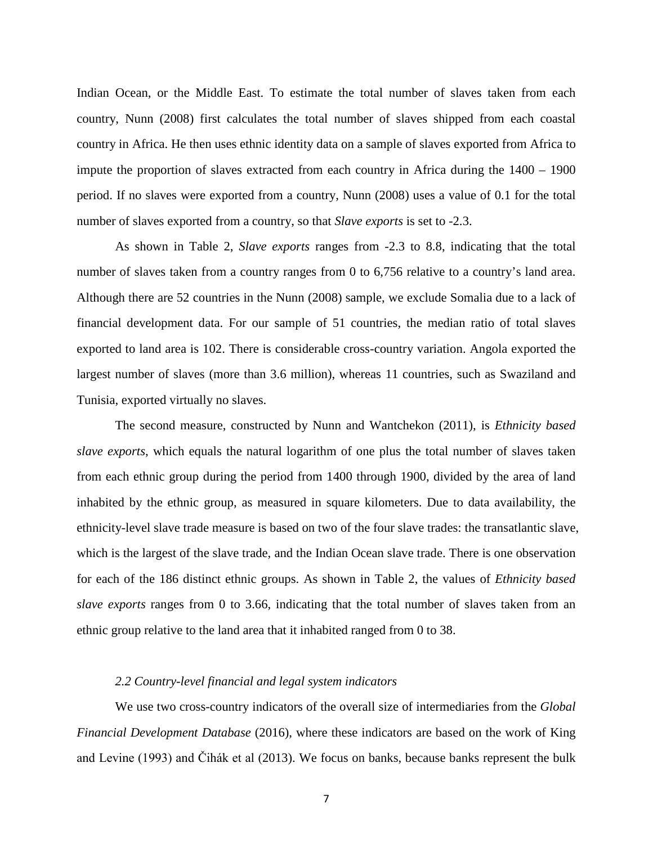Indian Ocean, or the Middle East. To estimate the total number of slaves taken from each country, Nunn (2008) first calculates the total number of slaves shipped from each coastal country in Africa. He then uses ethnic identity data on a sample of slaves exported from Africa to impute the proportion of slaves extracted from each country in Africa during the 1400 – 1900 period. If no slaves were exported from a country, Nunn (2008) uses a value of 0.1 for the total number of slaves exported from a country, so that *Slave exports* is set to -2.3.

As shown in Table 2, *Slave exports* ranges from -2.3 to 8.8, indicating that the total number of slaves taken from a country ranges from 0 to 6,756 relative to a country's land area. Although there are 52 countries in the Nunn (2008) sample, we exclude Somalia due to a lack of financial development data. For our sample of 51 countries, the median ratio of total slaves exported to land area is 102. There is considerable cross-country variation. Angola exported the largest number of slaves (more than 3.6 million), whereas 11 countries, such as Swaziland and Tunisia, exported virtually no slaves.

The second measure, constructed by Nunn and Wantchekon (2011), is *Ethnicity based slave exports*, which equals the natural logarithm of one plus the total number of slaves taken from each ethnic group during the period from 1400 through 1900, divided by the area of land inhabited by the ethnic group, as measured in square kilometers. Due to data availability, the ethnicity-level slave trade measure is based on two of the four slave trades: the transatlantic slave, which is the largest of the slave trade, and the Indian Ocean slave trade. There is one observation for each of the 186 distinct ethnic groups. As shown in Table 2, the values of *Ethnicity based slave exports* ranges from 0 to 3.66, indicating that the total number of slaves taken from an ethnic group relative to the land area that it inhabited ranged from 0 to 38.

### *2.2 Country-level financial and legal system indicators*

We use two cross-country indicators of the overall size of intermediaries from the *Global Financial Development Database* (2016), where these indicators are based on the work of King and Levine (1993) and Čihák et al (2013). We focus on banks, because banks represent the bulk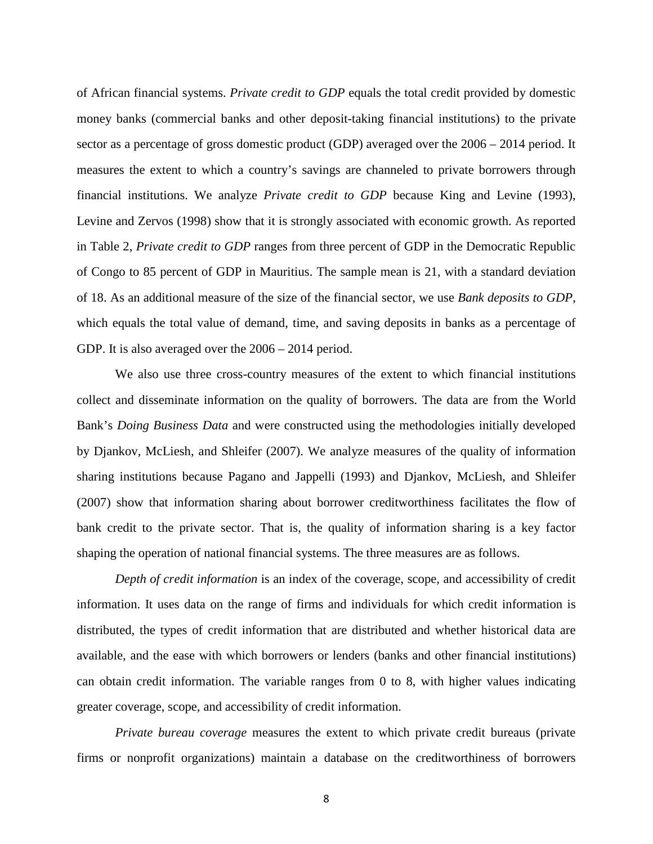of African financial systems. *Private credit to GDP* equals the total credit provided by domestic money banks (commercial banks and other deposit-taking financial institutions) to the private sector as a percentage of gross domestic product (GDP) averaged over the 2006 – 2014 period. It measures the extent to which a country's savings are channeled to private borrowers through financial institutions. We analyze *Private credit to GDP* because King and Levine (1993), Levine and Zervos (1998) show that it is strongly associated with economic growth. As reported in Table 2, *Private credit to GDP* ranges from three percent of GDP in the Democratic Republic of Congo to 85 percent of GDP in Mauritius. The sample mean is 21, with a standard deviation of 18. As an additional measure of the size of the financial sector, we use *Bank deposits to GDP*, which equals the total value of demand, time, and saving deposits in banks as a percentage of GDP. It is also averaged over the 2006 – 2014 period.

We also use three cross-country measures of the extent to which financial institutions collect and disseminate information on the quality of borrowers. The data are from the World Bank's *Doing Business Data* and were constructed using the methodologies initially developed by Djankov, McLiesh, and Shleifer (2007). We analyze measures of the quality of information sharing institutions because Pagano and Jappelli (1993) and Djankov, McLiesh, and Shleifer (2007) show that information sharing about borrower creditworthiness facilitates the flow of bank credit to the private sector. That is, the quality of information sharing is a key factor shaping the operation of national financial systems. The three measures are as follows.

*Depth of credit information* is an index of the coverage, scope, and accessibility of credit information. It uses data on the range of firms and individuals for which credit information is distributed, the types of credit information that are distributed and whether historical data are available, and the ease with which borrowers or lenders (banks and other financial institutions) can obtain credit information. The variable ranges from 0 to 8, with higher values indicating greater coverage, scope, and accessibility of credit information.

*Private bureau coverage* measures the extent to which private credit bureaus (private firms or nonprofit organizations) maintain a database on the creditworthiness of borrowers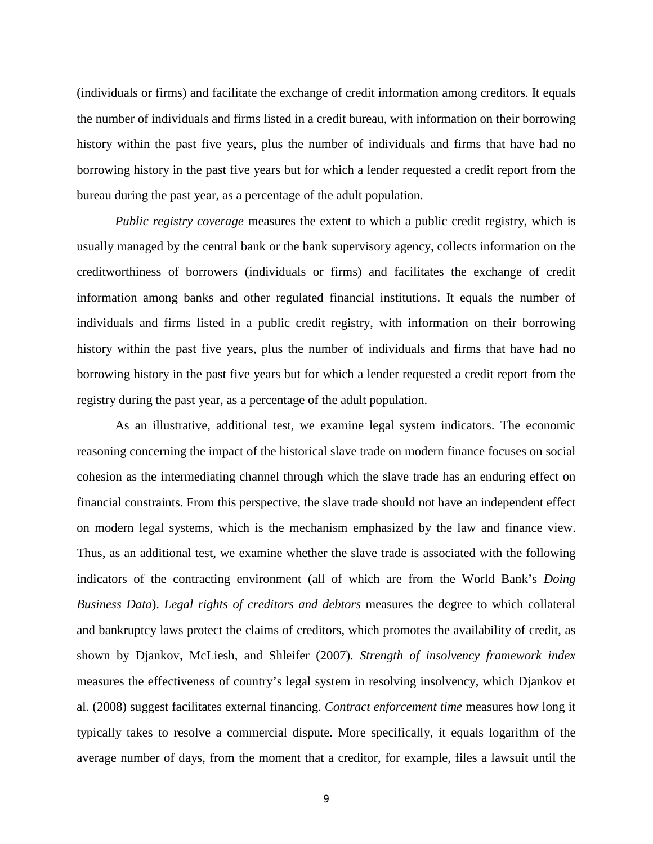(individuals or firms) and facilitate the exchange of credit information among creditors. It equals the number of individuals and firms listed in a credit bureau, with information on their borrowing history within the past five years, plus the number of individuals and firms that have had no borrowing history in the past five years but for which a lender requested a credit report from the bureau during the past year, as a percentage of the adult population.

*Public registry coverage* measures the extent to which a public credit registry, which is usually managed by the central bank or the bank supervisory agency, collects information on the creditworthiness of borrowers (individuals or firms) and facilitates the exchange of credit information among banks and other regulated financial institutions. It equals the number of individuals and firms listed in a public credit registry, with information on their borrowing history within the past five years, plus the number of individuals and firms that have had no borrowing history in the past five years but for which a lender requested a credit report from the registry during the past year, as a percentage of the adult population.

As an illustrative, additional test, we examine legal system indicators. The economic reasoning concerning the impact of the historical slave trade on modern finance focuses on social cohesion as the intermediating channel through which the slave trade has an enduring effect on financial constraints. From this perspective, the slave trade should not have an independent effect on modern legal systems, which is the mechanism emphasized by the law and finance view. Thus, as an additional test, we examine whether the slave trade is associated with the following indicators of the contracting environment (all of which are from the World Bank's *Doing Business Data*). *Legal rights of creditors and debtors* measures the degree to which collateral and bankruptcy laws protect the claims of creditors, which promotes the availability of credit, as shown by Djankov, McLiesh, and Shleifer (2007). *Strength of insolvency framework index* measures the effectiveness of country's legal system in resolving insolvency, which Djankov et al. (2008) suggest facilitates external financing. *Contract enforcement time* measures how long it typically takes to resolve a commercial dispute. More specifically, it equals logarithm of the average number of days, from the moment that a creditor, for example, files a lawsuit until the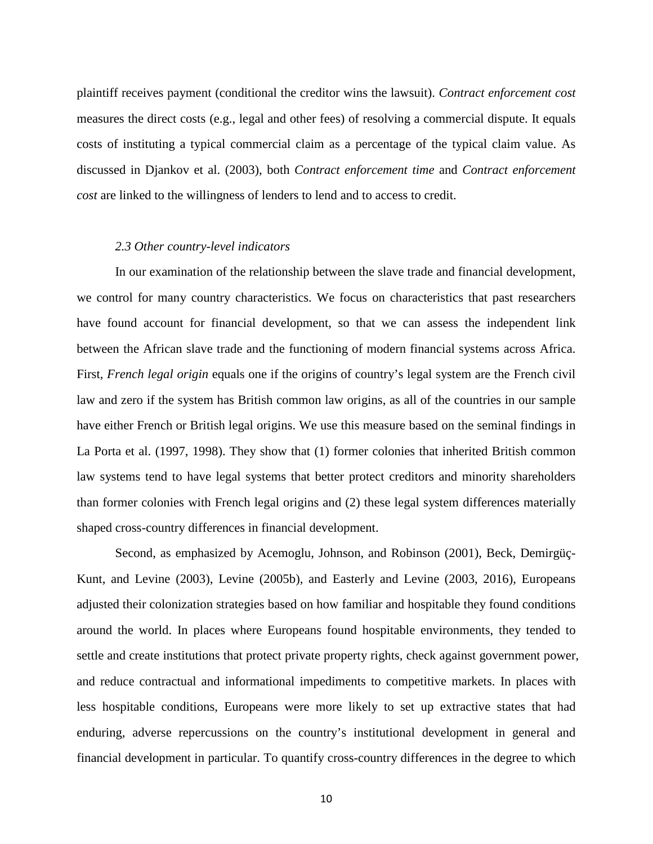plaintiff receives payment (conditional the creditor wins the lawsuit). *Contract enforcement cost* measures the direct costs (e.g., legal and other fees) of resolving a commercial dispute. It equals costs of instituting a typical commercial claim as a percentage of the typical claim value. As discussed in Djankov et al. (2003), both *Contract enforcement time* and *Contract enforcement cost* are linked to the willingness of lenders to lend and to access to credit.

#### *2.3 Other country-level indicators*

In our examination of the relationship between the slave trade and financial development, we control for many country characteristics. We focus on characteristics that past researchers have found account for financial development, so that we can assess the independent link between the African slave trade and the functioning of modern financial systems across Africa. First, *French legal origin* equals one if the origins of country's legal system are the French civil law and zero if the system has British common law origins, as all of the countries in our sample have either French or British legal origins. We use this measure based on the seminal findings in La Porta et al. (1997, 1998). They show that (1) former colonies that inherited British common law systems tend to have legal systems that better protect creditors and minority shareholders than former colonies with French legal origins and (2) these legal system differences materially shaped cross-country differences in financial development.

Second, as emphasized by Acemoglu, Johnson, and Robinson (2001), Beck, Demirgüç-Kunt, and Levine (2003), Levine (2005b), and Easterly and Levine (2003, 2016), Europeans adjusted their colonization strategies based on how familiar and hospitable they found conditions around the world. In places where Europeans found hospitable environments, they tended to settle and create institutions that protect private property rights, check against government power, and reduce contractual and informational impediments to competitive markets. In places with less hospitable conditions, Europeans were more likely to set up extractive states that had enduring, adverse repercussions on the country's institutional development in general and financial development in particular. To quantify cross-country differences in the degree to which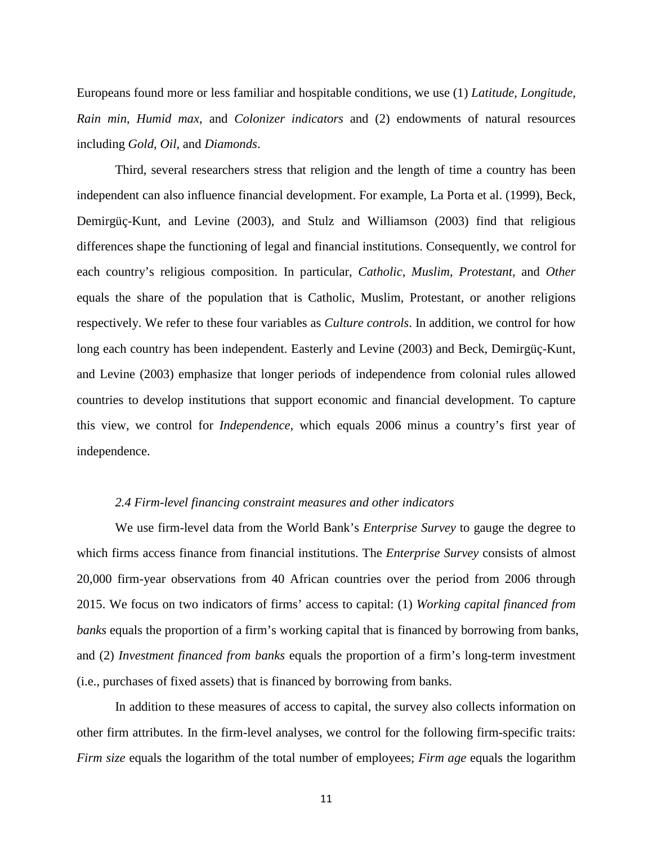Europeans found more or less familiar and hospitable conditions, we use (1) *Latitude*, *Longitude*, *Rain min*, *Humid max*, and *Colonizer indicators* and (2) endowments of natural resources including *Gold*, *Oil*, and *Diamonds*.

Third, several researchers stress that religion and the length of time a country has been independent can also influence financial development. For example, La Porta et al. (1999), Beck, Demirgüç-Kunt, and Levine (2003), and Stulz and Williamson (2003) find that religious differences shape the functioning of legal and financial institutions. Consequently, we control for each country's religious composition. In particular, *Catholic*, *Muslim*, *Protestant*, and *Other* equals the share of the population that is Catholic, Muslim, Protestant, or another religions respectively. We refer to these four variables as *Culture controls*. In addition, we control for how long each country has been independent. Easterly and Levine (2003) and Beck, Demirgüç-Kunt, and Levine (2003) emphasize that longer periods of independence from colonial rules allowed countries to develop institutions that support economic and financial development. To capture this view, we control for *Independence*, which equals 2006 minus a country's first year of independence.

#### *2.4 Firm-level financing constraint measures and other indicators*

We use firm-level data from the World Bank's *Enterprise Survey* to gauge the degree to which firms access finance from financial institutions. The *Enterprise Survey* consists of almost 20,000 firm-year observations from 40 African countries over the period from 2006 through 2015. We focus on two indicators of firms' access to capital: (1) *Working capital financed from banks* equals the proportion of a firm's working capital that is financed by borrowing from banks, and (2) *Investment financed from banks* equals the proportion of a firm's long-term investment (i.e., purchases of fixed assets) that is financed by borrowing from banks.

In addition to these measures of access to capital, the survey also collects information on other firm attributes. In the firm-level analyses, we control for the following firm-specific traits: *Firm size* equals the logarithm of the total number of employees; *Firm age* equals the logarithm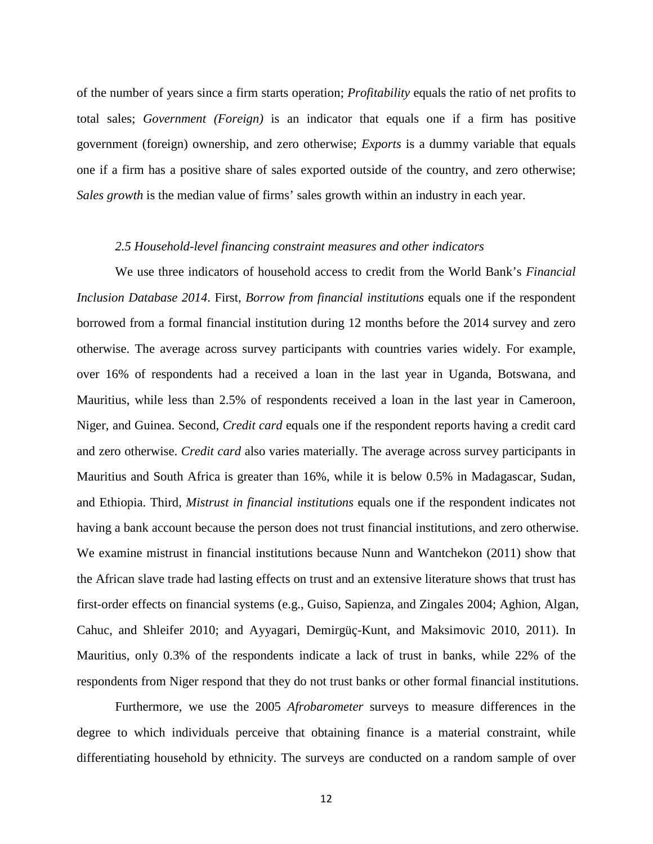of the number of years since a firm starts operation; *Profitability* equals the ratio of net profits to total sales; *Government (Foreign)* is an indicator that equals one if a firm has positive government (foreign) ownership, and zero otherwise; *Exports* is a dummy variable that equals one if a firm has a positive share of sales exported outside of the country, and zero otherwise; *Sales growth* is the median value of firms' sales growth within an industry in each year.

#### *2.5 Household-level financing constraint measures and other indicators*

We use three indicators of household access to credit from the World Bank's *Financial Inclusion Database 2014*. First, *Borrow from financial institutions* equals one if the respondent borrowed from a formal financial institution during 12 months before the 2014 survey and zero otherwise. The average across survey participants with countries varies widely. For example, over 16% of respondents had a received a loan in the last year in Uganda, Botswana, and Mauritius, while less than 2.5% of respondents received a loan in the last year in Cameroon, Niger, and Guinea. Second, *Credit card* equals one if the respondent reports having a credit card and zero otherwise. *Credit card* also varies materially. The average across survey participants in Mauritius and South Africa is greater than 16%, while it is below 0.5% in Madagascar, Sudan, and Ethiopia. Third, *Mistrust in financial institutions* equals one if the respondent indicates not having a bank account because the person does not trust financial institutions, and zero otherwise. We examine mistrust in financial institutions because Nunn and Wantchekon (2011) show that the African slave trade had lasting effects on trust and an extensive literature shows that trust has first-order effects on financial systems (e.g., Guiso, Sapienza, and Zingales 2004; Aghion, Algan, Cahuc, and Shleifer 2010; and Ayyagari, Demirgüç-Kunt, and Maksimovic 2010, 2011). In Mauritius, only 0.3% of the respondents indicate a lack of trust in banks, while 22% of the respondents from Niger respond that they do not trust banks or other formal financial institutions.

Furthermore, we use the 2005 *Afrobarometer* surveys to measure differences in the degree to which individuals perceive that obtaining finance is a material constraint, while differentiating household by ethnicity. The surveys are conducted on a random sample of over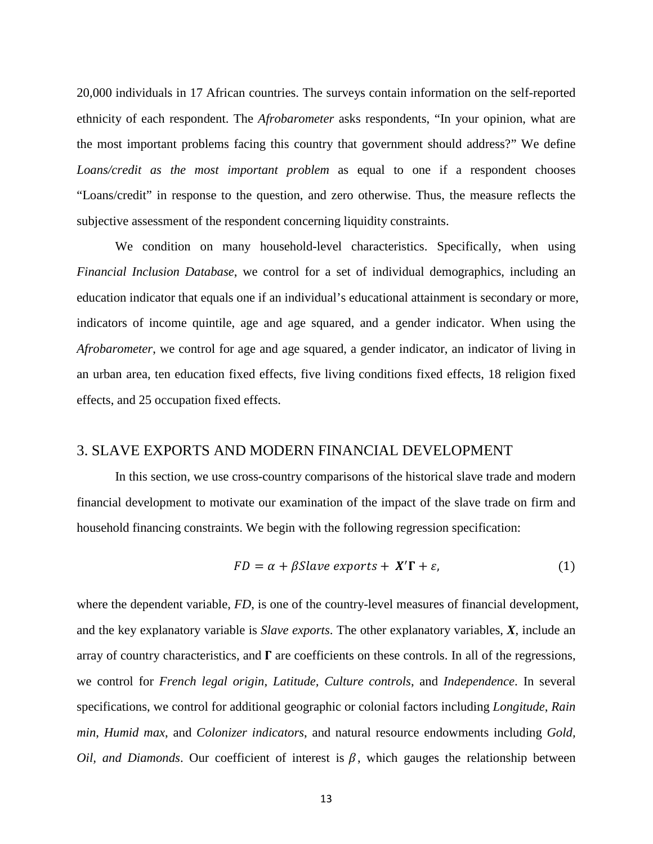20,000 individuals in 17 African countries. The surveys contain information on the self-reported ethnicity of each respondent. The *Afrobarometer* asks respondents, "In your opinion, what are the most important problems facing this country that government should address?" We define *Loans/credit as the most important problem* as equal to one if a respondent chooses "Loans/credit" in response to the question, and zero otherwise. Thus, the measure reflects the subjective assessment of the respondent concerning liquidity constraints.

We condition on many household-level characteristics. Specifically, when using *Financial Inclusion Database*, we control for a set of individual demographics, including an education indicator that equals one if an individual's educational attainment is secondary or more, indicators of income quintile, age and age squared, and a gender indicator. When using the *Afrobarometer*, we control for age and age squared, a gender indicator, an indicator of living in an urban area, ten education fixed effects, five living conditions fixed effects, 18 religion fixed effects, and 25 occupation fixed effects.

### 3. SLAVE EXPORTS AND MODERN FINANCIAL DEVELOPMENT

In this section, we use cross-country comparisons of the historical slave trade and modern financial development to motivate our examination of the impact of the slave trade on firm and household financing constraints. We begin with the following regression specification:

$$
FD = \alpha + \beta Slave\,exports + X'\Gamma + \varepsilon,\tag{1}
$$

where the dependent variable, *FD*, is one of the country-level measures of financial development, and the key explanatory variable is *Slave exports*. The other explanatory variables, *X*, include an array of country characteristics, and  $\Gamma$  are coefficients on these controls. In all of the regressions, we control for *French legal origin*, *Latitude, Culture controls*, and *Independence*. In several specifications, we control for additional geographic or colonial factors including *Longitude*, *Rain min*, *Humid max*, and *Colonizer indicators*, and natural resource endowments including *Gold, Oil, and Diamonds.* Our coefficient of interest is  $\beta$ , which gauges the relationship between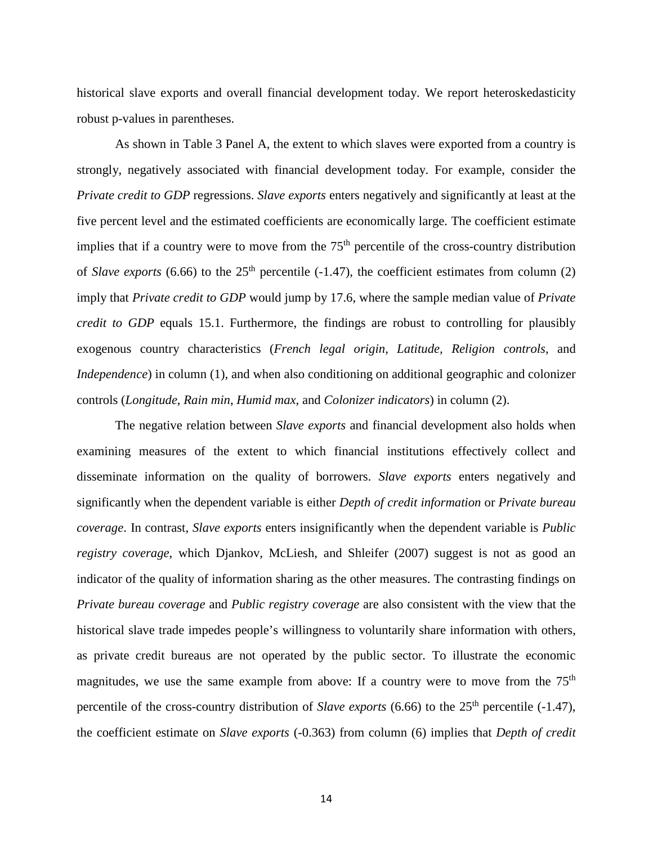historical slave exports and overall financial development today. We report heteroskedasticity robust p-values in parentheses.

As shown in Table 3 Panel A, the extent to which slaves were exported from a country is strongly, negatively associated with financial development today. For example, consider the *Private credit to GDP* regressions. *Slave exports* enters negatively and significantly at least at the five percent level and the estimated coefficients are economically large. The coefficient estimate implies that if a country were to move from the  $75<sup>th</sup>$  percentile of the cross-country distribution of *Slave exports* (6.66) to the  $25<sup>th</sup>$  percentile (-1.47), the coefficient estimates from column (2) imply that *Private credit to GDP* would jump by 17.6, where the sample median value of *Private credit to GDP* equals 15.1. Furthermore, the findings are robust to controlling for plausibly exogenous country characteristics (*French legal origin*, *Latitude, Religion controls*, and *Independence*) in column (1), and when also conditioning on additional geographic and colonizer controls (*Longitude*, *Rain min*, *Humid max*, and *Colonizer indicators*) in column (2).

The negative relation between *Slave exports* and financial development also holds when examining measures of the extent to which financial institutions effectively collect and disseminate information on the quality of borrowers. *Slave exports* enters negatively and significantly when the dependent variable is either *Depth of credit information* or *Private bureau coverage*. In contrast, *Slave exports* enters insignificantly when the dependent variable is *Public registry coverage*, which Djankov, McLiesh, and Shleifer (2007) suggest is not as good an indicator of the quality of information sharing as the other measures. The contrasting findings on *Private bureau coverage* and *Public registry coverage* are also consistent with the view that the historical slave trade impedes people's willingness to voluntarily share information with others, as private credit bureaus are not operated by the public sector. To illustrate the economic magnitudes, we use the same example from above: If a country were to move from the  $75<sup>th</sup>$ percentile of the cross-country distribution of *Slave exports* (6.66) to the 25<sup>th</sup> percentile (-1.47), the coefficient estimate on *Slave exports* (-0.363) from column (6) implies that *Depth of credit*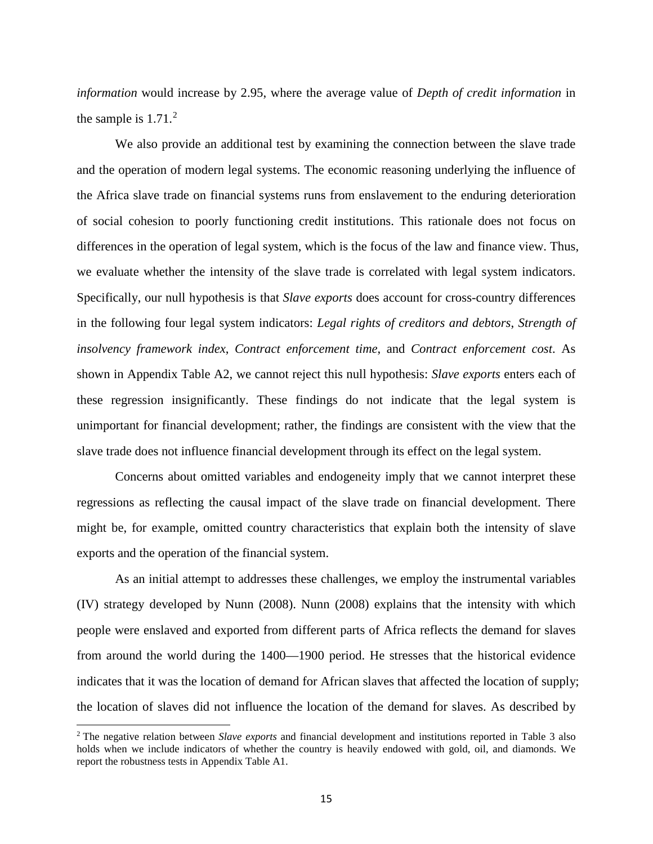*information* would increase by 2.95, where the average value of *Depth of credit information* in the sample is  $1.71<sup>2</sup>$  $1.71<sup>2</sup>$  $1.71<sup>2</sup>$ 

We also provide an additional test by examining the connection between the slave trade and the operation of modern legal systems. The economic reasoning underlying the influence of the Africa slave trade on financial systems runs from enslavement to the enduring deterioration of social cohesion to poorly functioning credit institutions. This rationale does not focus on differences in the operation of legal system, which is the focus of the law and finance view. Thus, we evaluate whether the intensity of the slave trade is correlated with legal system indicators. Specifically, our null hypothesis is that *Slave exports* does account for cross-country differences in the following four legal system indicators: *Legal rights of creditors and debtors*, *Strength of insolvency framework index*, *Contract enforcement time*, and *Contract enforcement cost*. As shown in Appendix Table A2, we cannot reject this null hypothesis: *Slave exports* enters each of these regression insignificantly. These findings do not indicate that the legal system is unimportant for financial development; rather, the findings are consistent with the view that the slave trade does not influence financial development through its effect on the legal system.

Concerns about omitted variables and endogeneity imply that we cannot interpret these regressions as reflecting the causal impact of the slave trade on financial development. There might be, for example, omitted country characteristics that explain both the intensity of slave exports and the operation of the financial system.

As an initial attempt to addresses these challenges, we employ the instrumental variables (IV) strategy developed by Nunn (2008). Nunn (2008) explains that the intensity with which people were enslaved and exported from different parts of Africa reflects the demand for slaves from around the world during the 1400—1900 period. He stresses that the historical evidence indicates that it was the location of demand for African slaves that affected the location of supply; the location of slaves did not influence the location of the demand for slaves. As described by

l

<span id="page-14-0"></span><sup>2</sup> The negative relation between *Slave exports* and financial development and institutions reported in Table 3 also holds when we include indicators of whether the country is heavily endowed with gold, oil, and diamonds. We report the robustness tests in Appendix Table A1.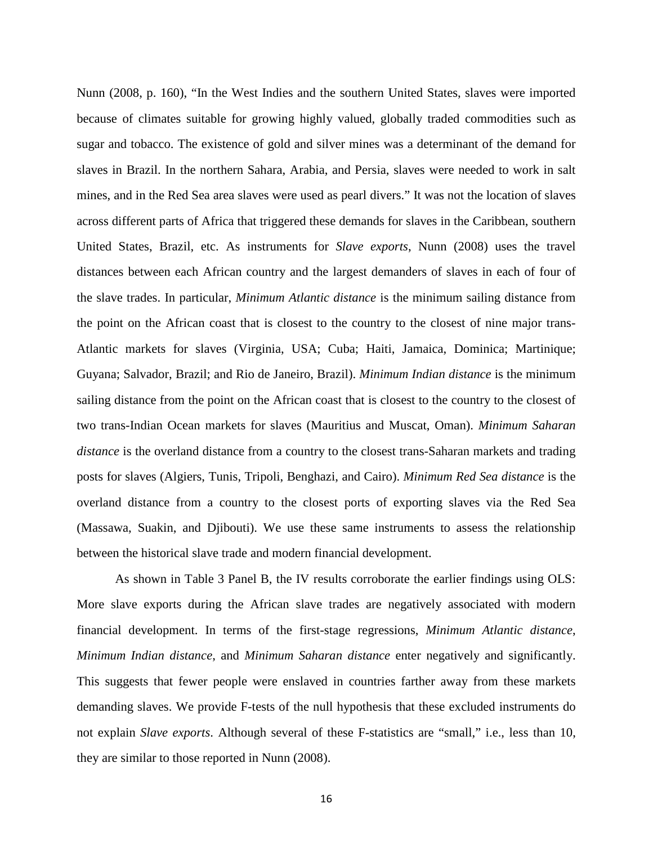Nunn (2008, p. 160), "In the West Indies and the southern United States, slaves were imported because of climates suitable for growing highly valued, globally traded commodities such as sugar and tobacco. The existence of gold and silver mines was a determinant of the demand for slaves in Brazil. In the northern Sahara, Arabia, and Persia, slaves were needed to work in salt mines, and in the Red Sea area slaves were used as pearl divers." It was not the location of slaves across different parts of Africa that triggered these demands for slaves in the Caribbean, southern United States, Brazil, etc. As instruments for *Slave exports*, Nunn (2008) uses the travel distances between each African country and the largest demanders of slaves in each of four of the slave trades. In particular, *Minimum Atlantic distance* is the minimum sailing distance from the point on the African coast that is closest to the country to the closest of nine major trans-Atlantic markets for slaves (Virginia, USA; Cuba; Haiti, Jamaica, Dominica; Martinique; Guyana; Salvador, Brazil; and Rio de Janeiro, Brazil). *Minimum Indian distance* is the minimum sailing distance from the point on the African coast that is closest to the country to the closest of two trans-Indian Ocean markets for slaves (Mauritius and Muscat, Oman). *Minimum Saharan distance* is the overland distance from a country to the closest trans-Saharan markets and trading posts for slaves (Algiers, Tunis, Tripoli, Benghazi, and Cairo). *Minimum Red Sea distance* is the overland distance from a country to the closest ports of exporting slaves via the Red Sea (Massawa, Suakin, and Djibouti). We use these same instruments to assess the relationship between the historical slave trade and modern financial development.

As shown in Table 3 Panel B, the IV results corroborate the earlier findings using OLS: More slave exports during the African slave trades are negatively associated with modern financial development. In terms of the first-stage regressions, *Minimum Atlantic distance*, *Minimum Indian distance*, and *Minimum Saharan distance* enter negatively and significantly. This suggests that fewer people were enslaved in countries farther away from these markets demanding slaves. We provide F-tests of the null hypothesis that these excluded instruments do not explain *Slave exports*. Although several of these F-statistics are "small," i.e., less than 10, they are similar to those reported in Nunn (2008).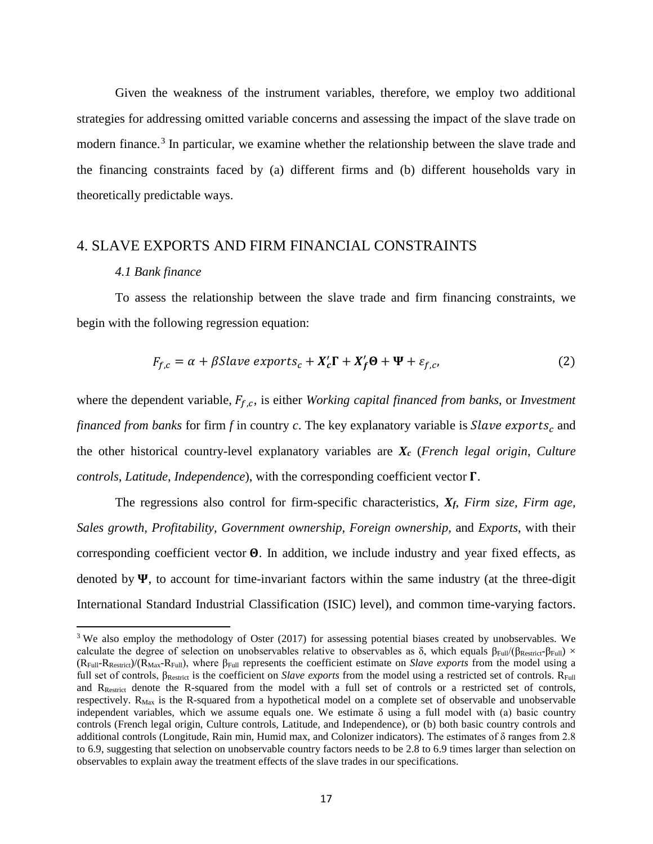Given the weakness of the instrument variables, therefore, we employ two additional strategies for addressing omitted variable concerns and assessing the impact of the slave trade on modern finance.<sup>[3](#page-16-0)</sup> In particular, we examine whether the relationship between the slave trade and the financing constraints faced by (a) different firms and (b) different households vary in theoretically predictable ways.

### 4. SLAVE EXPORTS AND FIRM FINANCIAL CONSTRAINTS

#### *4.1 Bank finance*

 $\overline{\phantom{a}}$ 

To assess the relationship between the slave trade and firm financing constraints, we begin with the following regression equation:

$$
F_{f,c} = \alpha + \beta \, \text{Slave exports}_c + X_c' \Gamma + X_f' \Theta + \Psi + \varepsilon_{f,c'}, \tag{2}
$$

where the dependent variable,  $F_{f,c}$ , is either *Working capital financed from banks*, or *Investment financed from banks* for firm  $f$  in country  $c$ . The key explanatory variable is *Slave exports*<sub> $c$ </sub> and the other historical country-level explanatory variables are *Xc* (*French legal origin*, *Culture controls*, *Latitude*, *Independence*), with the corresponding coefficient vector .

The regressions also control for firm-specific characteristics, *Xf*, *Firm size, Firm age, Sales growth, Profitability, Government ownership, Foreign ownership,* and *Exports*, with their corresponding coefficient vector  $\Theta$ . In addition, we include industry and year fixed effects, as denoted by  $\Psi$ , to account for time-invariant factors within the same industry (at the three-digit International Standard Industrial Classification (ISIC) level), and common time-varying factors.

<span id="page-16-0"></span><sup>&</sup>lt;sup>3</sup> We also employ the methodology of Oster (2017) for assessing potential biases created by unobservables. We calculate the degree of selection on unobservables relative to observables as  $\delta$ , which equals  $\beta_{Full}/(\beta_{Restrict}-\beta_{Full}) \times$ (RFull-RRestrict)/(RMax-RFull), where βFull represents the coefficient estimate on *Slave exports* from the model using a full set of controls, β<sub>Restrict</sub> is the coefficient on *Slave exports* from the model using a restricted set of controls. R<sub>Full</sub> and RRestrict denote the R-squared from the model with a full set of controls or a restricted set of controls, respectively. R<sub>Max</sub> is the R-squared from a hypothetical model on a complete set of observable and unobservable independent variables, which we assume equals one. We estimate  $\delta$  using a full model with (a) basic country controls (French legal origin, Culture controls, Latitude, and Independence), or (b) both basic country controls and additional controls (Longitude, Rain min, Humid max, and Colonizer indicators). The estimates of δ ranges from 2.8 to 6.9, suggesting that selection on unobservable country factors needs to be 2.8 to 6.9 times larger than selection on observables to explain away the treatment effects of the slave trades in our specifications.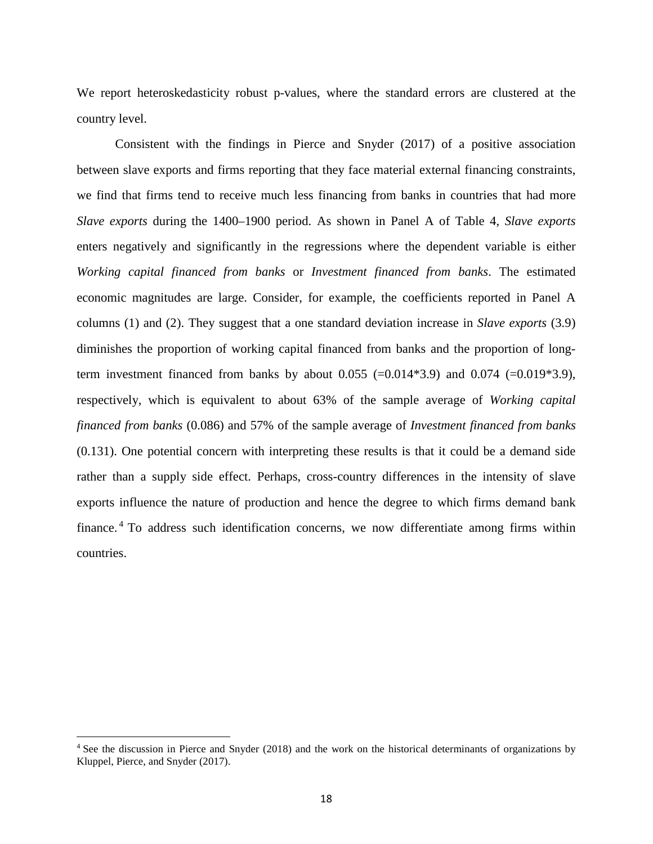We report heteroskedasticity robust p-values, where the standard errors are clustered at the country level.

Consistent with the findings in Pierce and Snyder (2017) of a positive association between slave exports and firms reporting that they face material external financing constraints, we find that firms tend to receive much less financing from banks in countries that had more *Slave exports* during the 1400–1900 period. As shown in Panel A of Table 4, *Slave exports* enters negatively and significantly in the regressions where the dependent variable is either *Working capital financed from banks* or *Investment financed from banks*. The estimated economic magnitudes are large. Consider, for example, the coefficients reported in Panel A columns (1) and (2). They suggest that a one standard deviation increase in *Slave exports* (3.9) diminishes the proportion of working capital financed from banks and the proportion of longterm investment financed from banks by about  $0.055$  (=0.014\*3.9) and  $0.074$  (=0.019\*3.9), respectively, which is equivalent to about 63% of the sample average of *Working capital financed from banks* (0.086) and 57% of the sample average of *Investment financed from banks* (0.131). One potential concern with interpreting these results is that it could be a demand side rather than a supply side effect. Perhaps, cross-country differences in the intensity of slave exports influence the nature of production and hence the degree to which firms demand bank finance. [4](#page-17-0) To address such identification concerns, we now differentiate among firms within countries.

l

<span id="page-17-0"></span><sup>4</sup> See the discussion in Pierce and Snyder (2018) and the work on the historical determinants of organizations by Kluppel, Pierce, and Snyder (2017).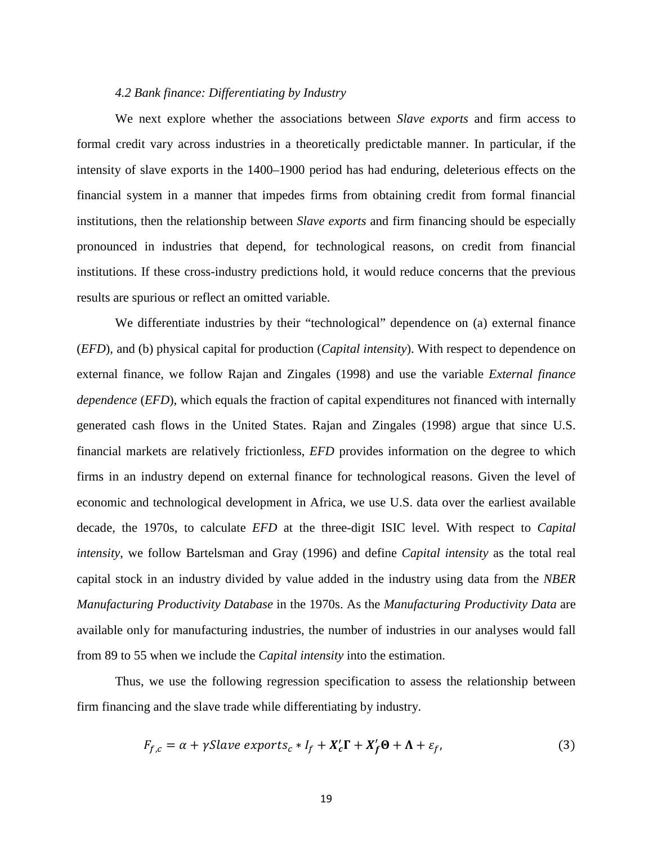### *4.2 Bank finance: Differentiating by Industry*

We next explore whether the associations between *Slave exports* and firm access to formal credit vary across industries in a theoretically predictable manner. In particular, if the intensity of slave exports in the 1400–1900 period has had enduring, deleterious effects on the financial system in a manner that impedes firms from obtaining credit from formal financial institutions, then the relationship between *Slave exports* and firm financing should be especially pronounced in industries that depend, for technological reasons, on credit from financial institutions. If these cross-industry predictions hold, it would reduce concerns that the previous results are spurious or reflect an omitted variable.

We differentiate industries by their "technological" dependence on (a) external finance (*EFD*), and (b) physical capital for production (*Capital intensity*). With respect to dependence on external finance, we follow Rajan and Zingales (1998) and use the variable *External finance dependence* (*EFD*), which equals the fraction of capital expenditures not financed with internally generated cash flows in the United States. Rajan and Zingales (1998) argue that since U.S. financial markets are relatively frictionless, *EFD* provides information on the degree to which firms in an industry depend on external finance for technological reasons. Given the level of economic and technological development in Africa, we use U.S. data over the earliest available decade, the 1970s, to calculate *EFD* at the three-digit ISIC level. With respect to *Capital intensity*, we follow Bartelsman and Gray (1996) and define *Capital intensity* as the total real capital stock in an industry divided by value added in the industry using data from the *NBER Manufacturing Productivity Database* in the 1970s. As the *Manufacturing Productivity Data* are available only for manufacturing industries, the number of industries in our analyses would fall from 89 to 55 when we include the *Capital intensity* into the estimation.

Thus, we use the following regression specification to assess the relationship between firm financing and the slave trade while differentiating by industry.

$$
F_{f,c} = \alpha + \gamma \, \text{Slave exports}_c \ast I_f + X_c' \Gamma + X_f' \Theta + \Lambda + \varepsilon_f,\tag{3}
$$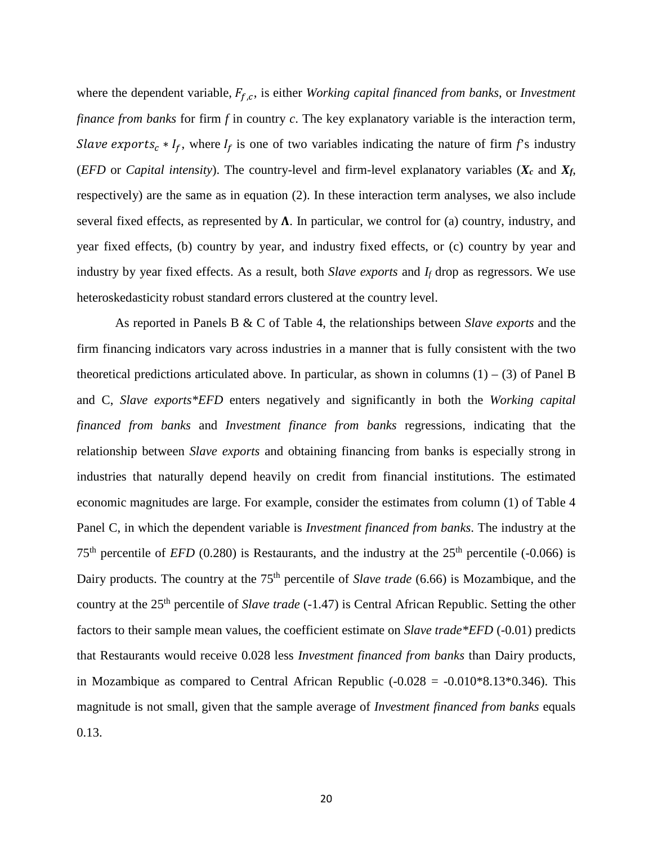where the dependent variable,  $F_{f,c}$ , is either *Working capital financed from banks*, or *Investment finance from banks* for firm *f* in country *c*. The key explanatory variable is the interaction term, *Slave exports<sub>c</sub>* \*  $I_f$ , where  $I_f$  is one of two variables indicating the nature of firm *f*'s industry (*EFD* or *Capital intensity*). The country-level and firm-level explanatory variables ( $X_c$  and  $X_f$ , respectively) are the same as in equation (2). In these interaction term analyses, we also include several fixed effects, as represented by  $\Lambda$ . In particular, we control for (a) country, industry, and year fixed effects, (b) country by year, and industry fixed effects, or (c) country by year and industry by year fixed effects. As a result, both *Slave exports* and *If* drop as regressors. We use heteroskedasticity robust standard errors clustered at the country level.

As reported in Panels B & C of Table 4, the relationships between *Slave exports* and the firm financing indicators vary across industries in a manner that is fully consistent with the two theoretical predictions articulated above. In particular, as shown in columns  $(1) - (3)$  of Panel B and C, *Slave exports\*EFD* enters negatively and significantly in both the *Working capital financed from banks* and *Investment finance from banks* regressions, indicating that the relationship between *Slave exports* and obtaining financing from banks is especially strong in industries that naturally depend heavily on credit from financial institutions. The estimated economic magnitudes are large. For example, consider the estimates from column (1) of Table 4 Panel C, in which the dependent variable is *Investment financed from banks*. The industry at the  $75<sup>th</sup>$  percentile of *EFD* (0.280) is Restaurants, and the industry at the  $25<sup>th</sup>$  percentile (-0.066) is Dairy products. The country at the 75<sup>th</sup> percentile of *Slave trade* (6.66) is Mozambique, and the country at the 25th percentile of *Slave trade* (-1.47) is Central African Republic. Setting the other factors to their sample mean values, the coefficient estimate on *Slave trade\*EFD* (-0.01) predicts that Restaurants would receive 0.028 less *Investment financed from banks* than Dairy products, in Mozambique as compared to Central African Republic  $(-0.028 = -0.010*8.13*0.346)$ . This magnitude is not small, given that the sample average of *Investment financed from banks* equals 0.13.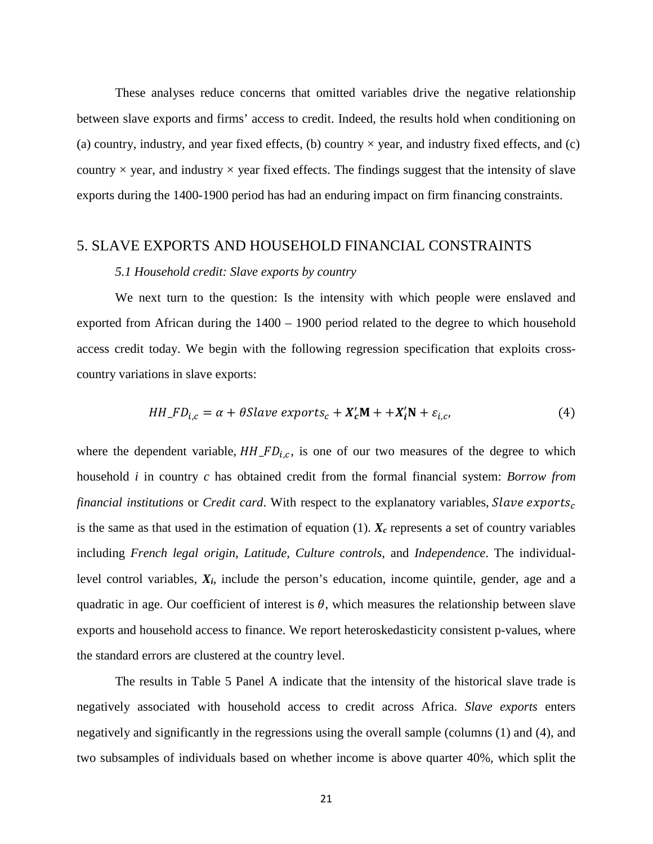These analyses reduce concerns that omitted variables drive the negative relationship between slave exports and firms' access to credit. Indeed, the results hold when conditioning on (a) country, industry, and year fixed effects, (b) country  $\times$  year, and industry fixed effects, and (c) country  $\times$  year, and industry  $\times$  year fixed effects. The findings suggest that the intensity of slave exports during the 1400-1900 period has had an enduring impact on firm financing constraints.

### 5. SLAVE EXPORTS AND HOUSEHOLD FINANCIAL CONSTRAINTS

#### *5.1 Household credit: Slave exports by country*

We next turn to the question: Is the intensity with which people were enslaved and exported from African during the 1400 – 1900 period related to the degree to which household access credit today. We begin with the following regression specification that exploits crosscountry variations in slave exports:

$$
HH\_FD_{i,c} = \alpha + \theta Slave\,exports_c + X_c'M + + X_i'N + \varepsilon_{i,c},\tag{4}
$$

where the dependent variable,  $HH\_FD_{i,c}$ , is one of our two measures of the degree to which household *i* in country *c* has obtained credit from the formal financial system: *Borrow from financial institutions* or *Credit card*. With respect to the explanatory variables, is the same as that used in the estimation of equation  $(1)$ .  $X_c$  represents a set of country variables including *French legal origin*, *Latitude, Culture controls*, and *Independence*. The individuallevel control variables, *Xi*, include the person's education, income quintile, gender, age and a quadratic in age. Our coefficient of interest is  $\theta$ , which measures the relationship between slave exports and household access to finance. We report heteroskedasticity consistent p-values, where the standard errors are clustered at the country level.

The results in Table 5 Panel A indicate that the intensity of the historical slave trade is negatively associated with household access to credit across Africa. *Slave exports* enters negatively and significantly in the regressions using the overall sample (columns (1) and (4), and two subsamples of individuals based on whether income is above quarter 40%, which split the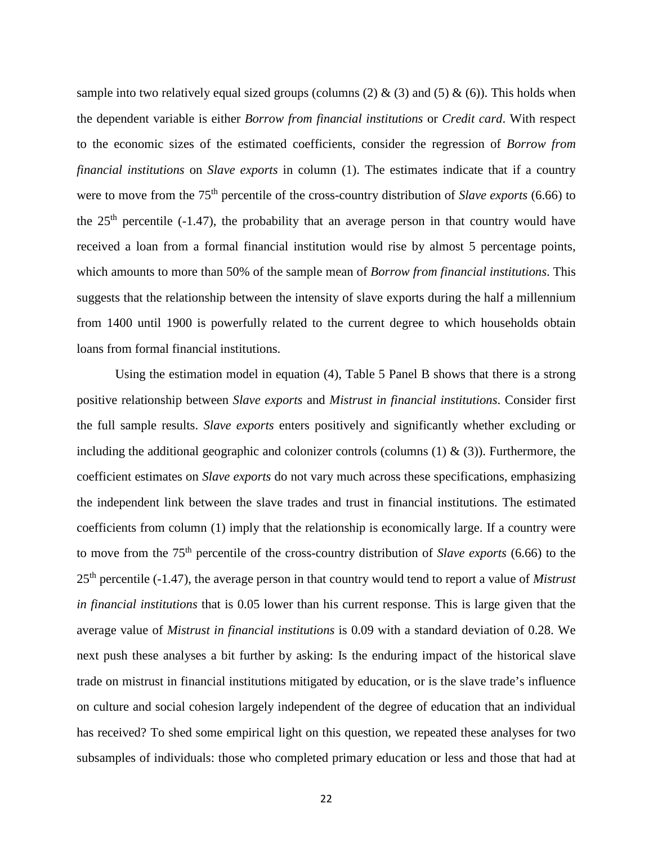sample into two relatively equal sized groups (columns (2)  $\&$  (3) and (5)  $\&$  (6)). This holds when the dependent variable is either *Borrow from financial institutions* or *Credit card*. With respect to the economic sizes of the estimated coefficients, consider the regression of *Borrow from financial institutions* on *Slave exports* in column (1). The estimates indicate that if a country were to move from the 75<sup>th</sup> percentile of the cross-country distribution of *Slave exports* (6.66) to the  $25<sup>th</sup>$  percentile (-1.47), the probability that an average person in that country would have received a loan from a formal financial institution would rise by almost 5 percentage points, which amounts to more than 50% of the sample mean of *Borrow from financial institutions*. This suggests that the relationship between the intensity of slave exports during the half a millennium from 1400 until 1900 is powerfully related to the current degree to which households obtain loans from formal financial institutions.

Using the estimation model in equation (4), Table 5 Panel B shows that there is a strong positive relationship between *Slave exports* and *Mistrust in financial institutions*. Consider first the full sample results. *Slave exports* enters positively and significantly whether excluding or including the additional geographic and colonizer controls (columns  $(1) \& (3)$ ). Furthermore, the coefficient estimates on *Slave exports* do not vary much across these specifications, emphasizing the independent link between the slave trades and trust in financial institutions. The estimated coefficients from column (1) imply that the relationship is economically large. If a country were to move from the 75th percentile of the cross-country distribution of *Slave exports* (6.66) to the 25th percentile (-1.47), the average person in that country would tend to report a value of *Mistrust in financial institutions* that is 0.05 lower than his current response. This is large given that the average value of *Mistrust in financial institutions* is 0.09 with a standard deviation of 0.28. We next push these analyses a bit further by asking: Is the enduring impact of the historical slave trade on mistrust in financial institutions mitigated by education, or is the slave trade's influence on culture and social cohesion largely independent of the degree of education that an individual has received? To shed some empirical light on this question, we repeated these analyses for two subsamples of individuals: those who completed primary education or less and those that had at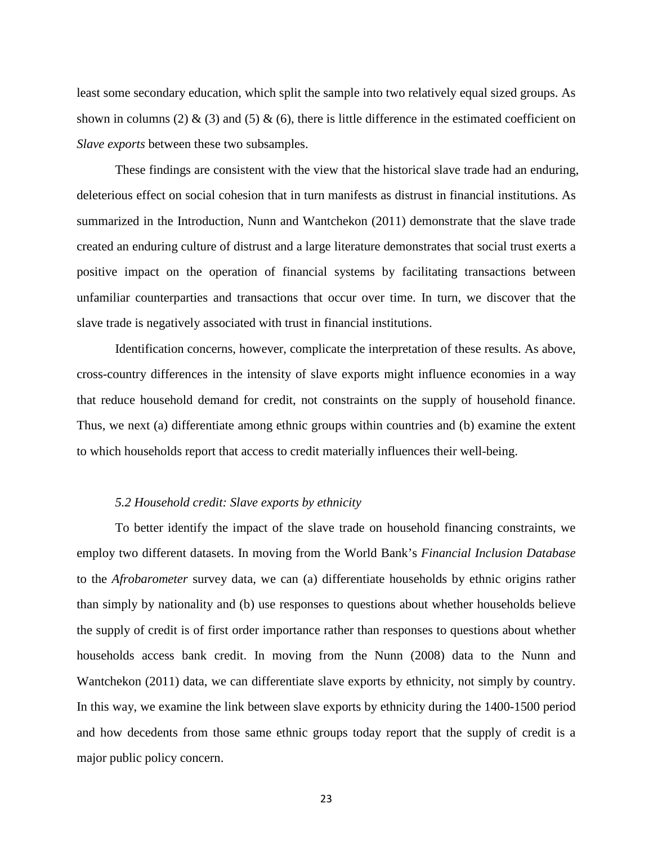least some secondary education, which split the sample into two relatively equal sized groups. As shown in columns (2)  $\&$  (3) and (5)  $\&$  (6), there is little difference in the estimated coefficient on *Slave exports* between these two subsamples.

These findings are consistent with the view that the historical slave trade had an enduring, deleterious effect on social cohesion that in turn manifests as distrust in financial institutions. As summarized in the Introduction, Nunn and Wantchekon (2011) demonstrate that the slave trade created an enduring culture of distrust and a large literature demonstrates that social trust exerts a positive impact on the operation of financial systems by facilitating transactions between unfamiliar counterparties and transactions that occur over time. In turn, we discover that the slave trade is negatively associated with trust in financial institutions.

Identification concerns, however, complicate the interpretation of these results. As above, cross-country differences in the intensity of slave exports might influence economies in a way that reduce household demand for credit, not constraints on the supply of household finance. Thus, we next (a) differentiate among ethnic groups within countries and (b) examine the extent to which households report that access to credit materially influences their well-being.

### *5.2 Household credit: Slave exports by ethnicity*

To better identify the impact of the slave trade on household financing constraints, we employ two different datasets. In moving from the World Bank's *Financial Inclusion Database* to the *Afrobarometer* survey data, we can (a) differentiate households by ethnic origins rather than simply by nationality and (b) use responses to questions about whether households believe the supply of credit is of first order importance rather than responses to questions about whether households access bank credit. In moving from the Nunn (2008) data to the Nunn and Wantchekon (2011) data, we can differentiate slave exports by ethnicity, not simply by country. In this way, we examine the link between slave exports by ethnicity during the 1400-1500 period and how decedents from those same ethnic groups today report that the supply of credit is a major public policy concern.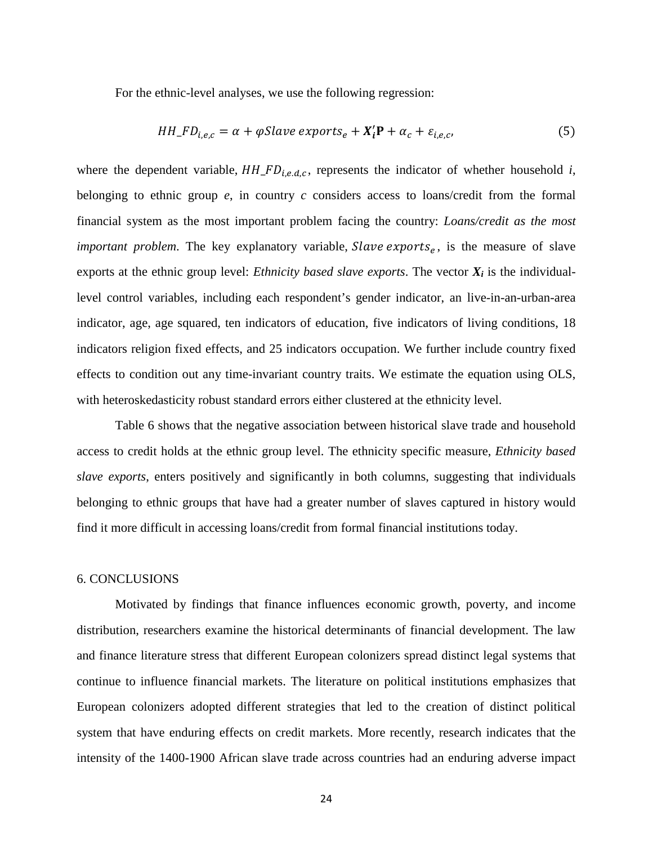For the ethnic-level analyses, we use the following regression:

$$
HH\_FD_{i,e,c} = \alpha + \varphi Slave\,exports_e + X_i' \mathbf{P} + \alpha_c + \varepsilon_{i,e,c},\tag{5}
$$

where the dependent variable,  $HH\_FD_{i.e.d.c}$ , represents the indicator of whether household *i*, belonging to ethnic group *e*, in country *c* considers access to loans/credit from the formal financial system as the most important problem facing the country: *Loans/credit as the most important problem*. The key explanatory variable, *Slave exports<sub>e</sub>*, is the measure of slave exports at the ethnic group level: *Ethnicity based slave exports*. The vector  $X_i$  is the individuallevel control variables, including each respondent's gender indicator, an live-in-an-urban-area indicator, age, age squared, ten indicators of education, five indicators of living conditions, 18 indicators religion fixed effects, and 25 indicators occupation. We further include country fixed effects to condition out any time-invariant country traits. We estimate the equation using OLS, with heteroskedasticity robust standard errors either clustered at the ethnicity level.

Table 6 shows that the negative association between historical slave trade and household access to credit holds at the ethnic group level. The ethnicity specific measure, *Ethnicity based slave exports*, enters positively and significantly in both columns, suggesting that individuals belonging to ethnic groups that have had a greater number of slaves captured in history would find it more difficult in accessing loans/credit from formal financial institutions today.

### 6. CONCLUSIONS

Motivated by findings that finance influences economic growth, poverty, and income distribution, researchers examine the historical determinants of financial development. The law and finance literature stress that different European colonizers spread distinct legal systems that continue to influence financial markets. The literature on political institutions emphasizes that European colonizers adopted different strategies that led to the creation of distinct political system that have enduring effects on credit markets. More recently, research indicates that the intensity of the 1400-1900 African slave trade across countries had an enduring adverse impact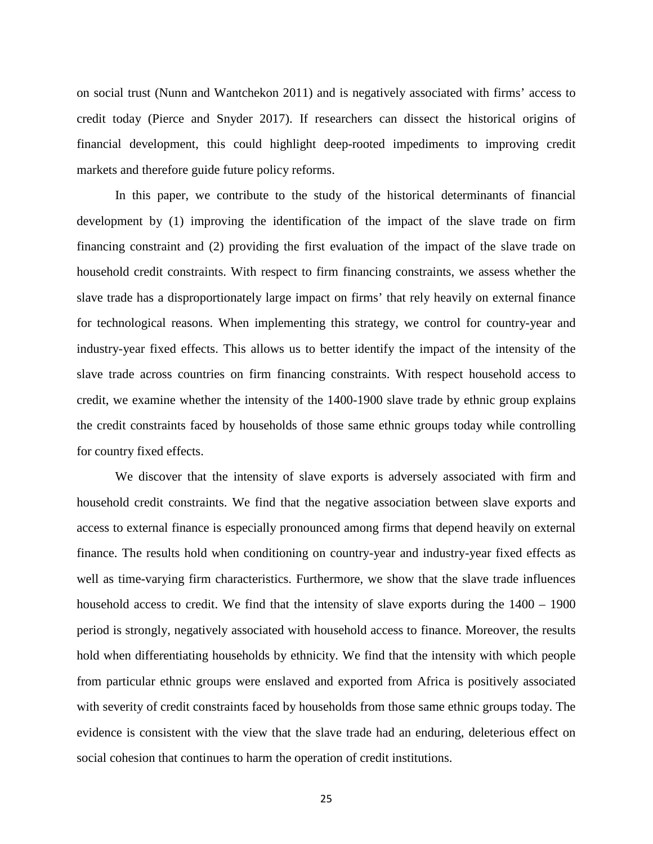on social trust (Nunn and Wantchekon 2011) and is negatively associated with firms' access to credit today (Pierce and Snyder 2017). If researchers can dissect the historical origins of financial development, this could highlight deep-rooted impediments to improving credit markets and therefore guide future policy reforms.

In this paper, we contribute to the study of the historical determinants of financial development by (1) improving the identification of the impact of the slave trade on firm financing constraint and (2) providing the first evaluation of the impact of the slave trade on household credit constraints. With respect to firm financing constraints, we assess whether the slave trade has a disproportionately large impact on firms' that rely heavily on external finance for technological reasons. When implementing this strategy, we control for country-year and industry-year fixed effects. This allows us to better identify the impact of the intensity of the slave trade across countries on firm financing constraints. With respect household access to credit, we examine whether the intensity of the 1400-1900 slave trade by ethnic group explains the credit constraints faced by households of those same ethnic groups today while controlling for country fixed effects.

We discover that the intensity of slave exports is adversely associated with firm and household credit constraints. We find that the negative association between slave exports and access to external finance is especially pronounced among firms that depend heavily on external finance. The results hold when conditioning on country-year and industry-year fixed effects as well as time-varying firm characteristics. Furthermore, we show that the slave trade influences household access to credit. We find that the intensity of slave exports during the  $1400 - 1900$ period is strongly, negatively associated with household access to finance. Moreover, the results hold when differentiating households by ethnicity. We find that the intensity with which people from particular ethnic groups were enslaved and exported from Africa is positively associated with severity of credit constraints faced by households from those same ethnic groups today. The evidence is consistent with the view that the slave trade had an enduring, deleterious effect on social cohesion that continues to harm the operation of credit institutions.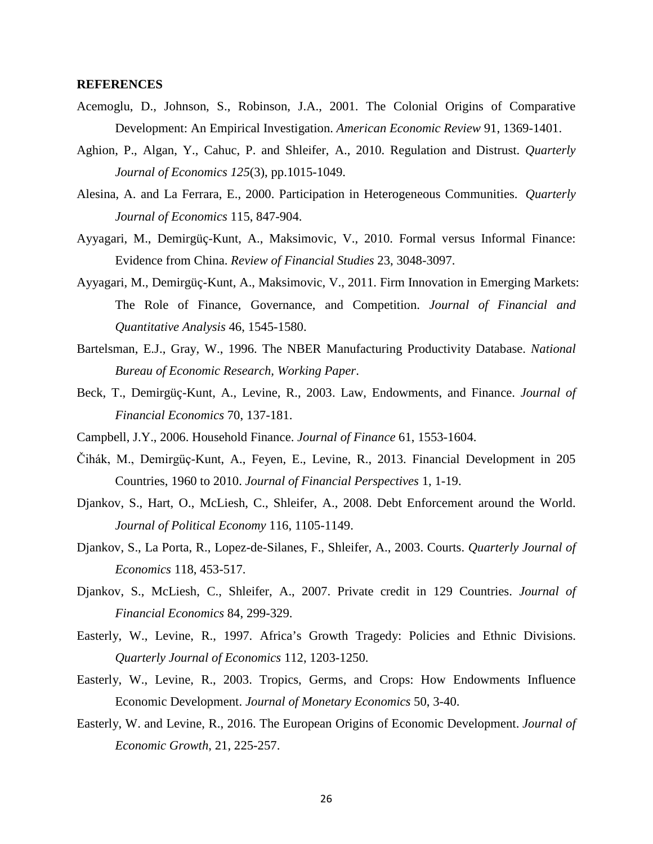### **REFERENCES**

- Acemoglu, D., Johnson, S., Robinson, J.A., 2001. The Colonial Origins of Comparative Development: An Empirical Investigation. *American Economic Review* 91, 1369-1401.
- Aghion, P., Algan, Y., Cahuc, P. and Shleifer, A., 2010. Regulation and Distrust. *Quarterly Journal of Economics 125*(3), pp.1015-1049.
- Alesina, A. and La Ferrara, E., 2000. Participation in Heterogeneous Communities. *Quarterly Journal of Economics* 115, 847-904.
- Ayyagari, M., Demirgüç-Kunt, A., Maksimovic, V., 2010. Formal versus Informal Finance: Evidence from China. *Review of Financial Studies* 23, 3048-3097.
- Ayyagari, M., Demirgüç-Kunt, A., Maksimovic, V., 2011. Firm Innovation in Emerging Markets: The Role of Finance, Governance, and Competition. *Journal of Financial and Quantitative Analysis* 46, 1545-1580.
- Bartelsman, E.J., Gray, W., 1996. The NBER Manufacturing Productivity Database. *National Bureau of Economic Research, Working Paper*.
- Beck, T., Demirgüç-Kunt, A., Levine, R., 2003. Law, Endowments, and Finance. *Journal of Financial Economics* 70, 137-181.
- Campbell, J.Y., 2006. Household Finance. *Journal of Finance* 61, 1553-1604.
- Čihák, M., Demirgüç-Kunt, A., Feyen, E., Levine, R., 2013. Financial Development in 205 Countries, 1960 to 2010. *Journal of Financial Perspectives* 1, 1-19.
- Djankov, S., Hart, O., McLiesh, C., Shleifer, A., 2008. Debt Enforcement around the World. *Journal of Political Economy* 116, 1105-1149.
- Djankov, S., La Porta, R., Lopez-de-Silanes, F., Shleifer, A., 2003. Courts. *Quarterly Journal of Economics* 118, 453-517.
- Djankov, S., McLiesh, C., Shleifer, A., 2007. Private credit in 129 Countries. *Journal of Financial Economics* 84, 299-329.
- Easterly, W., Levine, R., 1997. Africa's Growth Tragedy: Policies and Ethnic Divisions. *Quarterly Journal of Economics* 112, 1203-1250.
- Easterly, W., Levine, R., 2003. Tropics, Germs, and Crops: How Endowments Influence Economic Development. *Journal of Monetary Economics* 50, 3-40.
- Easterly, W. and Levine, R., 2016. The European Origins of Economic Development. *Journal of Economic Growth*, 21, 225-257.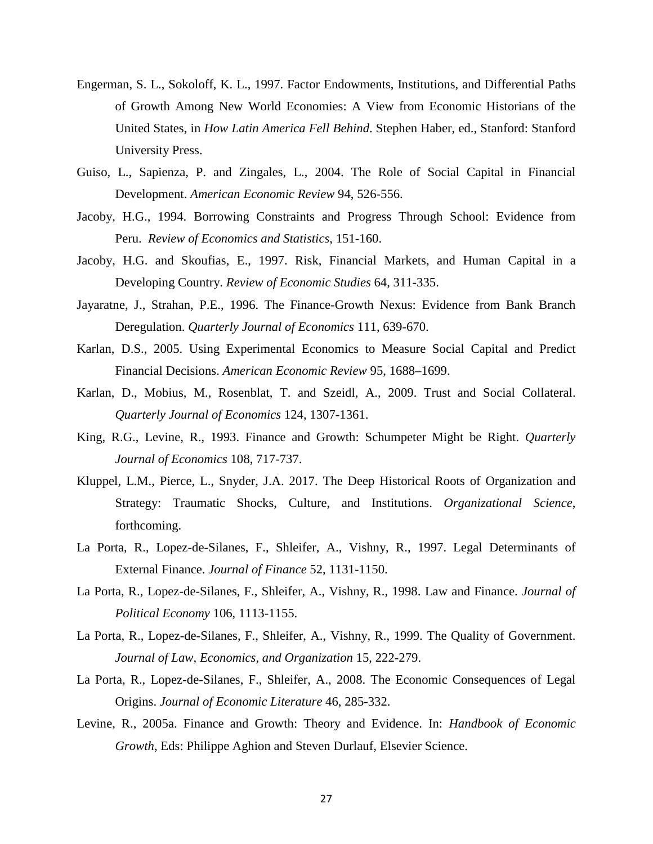- Engerman, S. L., Sokoloff, K. L., 1997. Factor Endowments, Institutions, and Differential Paths of Growth Among New World Economies: A View from Economic Historians of the United States, in *How Latin America Fell Behind*. Stephen Haber, ed., Stanford: Stanford University Press.
- Guiso, L., Sapienza, P. and Zingales, L., 2004. The Role of Social Capital in Financial Development. *American Economic Review* 94, 526-556.
- Jacoby, H.G., 1994. Borrowing Constraints and Progress Through School: Evidence from Peru. *Review of Economics and Statistics*, 151-160.
- Jacoby, H.G. and Skoufias, E., 1997. Risk, Financial Markets, and Human Capital in a Developing Country. *Review of Economic Studies* 64, 311-335.
- Jayaratne, J., Strahan, P.E., 1996. The Finance-Growth Nexus: Evidence from Bank Branch Deregulation. *Quarterly Journal of Economics* 111, 639-670.
- Karlan, D.S., 2005. Using Experimental Economics to Measure Social Capital and Predict Financial Decisions. *American Economic Review* 95, 1688–1699.
- Karlan, D., Mobius, M., Rosenblat, T. and Szeidl, A., 2009. Trust and Social Collateral. *Quarterly Journal of Economics* 124, 1307-1361.
- King, R.G., Levine, R., 1993. Finance and Growth: Schumpeter Might be Right. *Quarterly Journal of Economics* 108, 717-737.
- Kluppel, L.M., Pierce, L., Snyder, J.A. 2017. The Deep Historical Roots of Organization and Strategy: Traumatic Shocks, Culture, and Institutions. *Organizational Science*, forthcoming.
- La Porta, R., Lopez-de-Silanes, F., Shleifer, A., Vishny, R., 1997. Legal Determinants of External Finance. *Journal of Finance* 52, 1131-1150.
- La Porta, R., Lopez-de-Silanes, F., Shleifer, A., Vishny, R., 1998. Law and Finance. *Journal of Political Economy* 106, 1113-1155.
- La Porta, R., Lopez-de-Silanes, F., Shleifer, A., Vishny, R., 1999. The Quality of Government. *Journal of Law, Economics, and Organization* 15, 222-279.
- La Porta, R., Lopez-de-Silanes, F., Shleifer, A., 2008. The Economic Consequences of Legal Origins. *Journal of Economic Literature* 46, 285-332.
- Levine, R., 2005a. Finance and Growth: Theory and Evidence. In: *Handbook of Economic Growth*, Eds: Philippe Aghion and Steven Durlauf, Elsevier Science.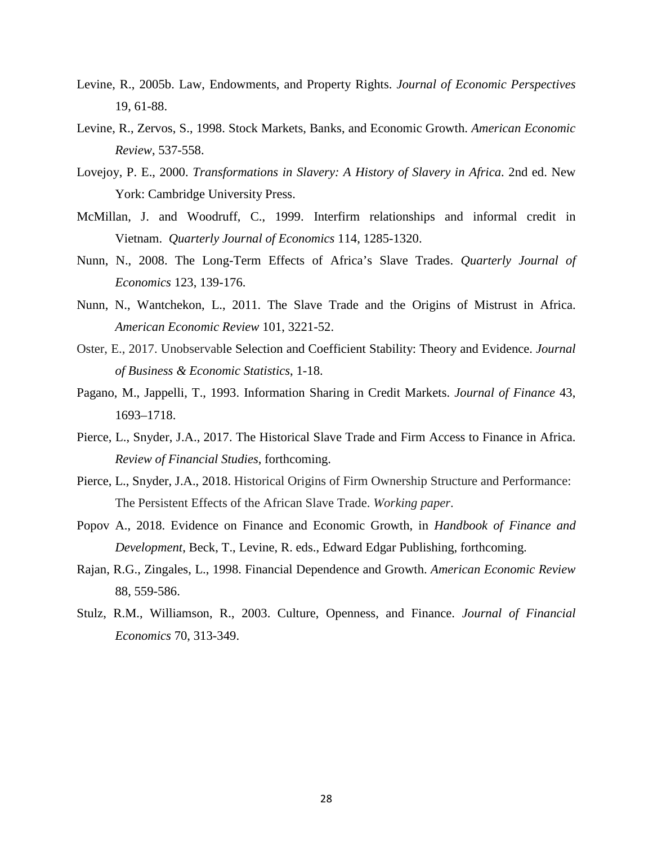- Levine, R., 2005b. Law, Endowments, and Property Rights. *Journal of Economic Perspectives*  19, 61-88.
- Levine, R., Zervos, S., 1998. Stock Markets, Banks, and Economic Growth. *American Economic Review*, 537-558.
- Lovejoy, P. E., 2000. *Transformations in Slavery: A History of Slavery in Africa*. 2nd ed. New York: Cambridge University Press.
- McMillan, J. and Woodruff, C., 1999. Interfirm relationships and informal credit in Vietnam. *Quarterly Journal of Economics* 114, 1285-1320.
- Nunn, N., 2008. The Long-Term Effects of Africa's Slave Trades. *Quarterly Journal of Economics* 123, 139-176.
- Nunn, N., Wantchekon, L., 2011. The Slave Trade and the Origins of Mistrust in Africa. *American Economic Review* 101, 3221-52.
- Oster, E., 2017. Unobservable Selection and Coefficient Stability: Theory and Evidence. *Journal of Business & Economic Statistics*, 1-18.
- Pagano, M., Jappelli, T., 1993. Information Sharing in Credit Markets. *Journal of Finance* 43, 1693–1718.
- Pierce, L., Snyder, J.A., 2017. The Historical Slave Trade and Firm Access to Finance in Africa. *Review of Financial Studies*, forthcoming.
- Pierce, L., Snyder, J.A., 2018. Historical Origins of Firm Ownership Structure and Performance: The Persistent Effects of the African Slave Trade. *Working paper*.
- Popov A., 2018. Evidence on Finance and Economic Growth, in *Handbook of Finance and Development*, Beck, T., Levine, R. eds., Edward Edgar Publishing, forthcoming.
- Rajan, R.G., Zingales, L., 1998. Financial Dependence and Growth. *American Economic Review*  88, 559-586.
- Stulz, R.M., Williamson, R., 2003. Culture, Openness, and Finance. *Journal of Financial Economics* 70, 313-349.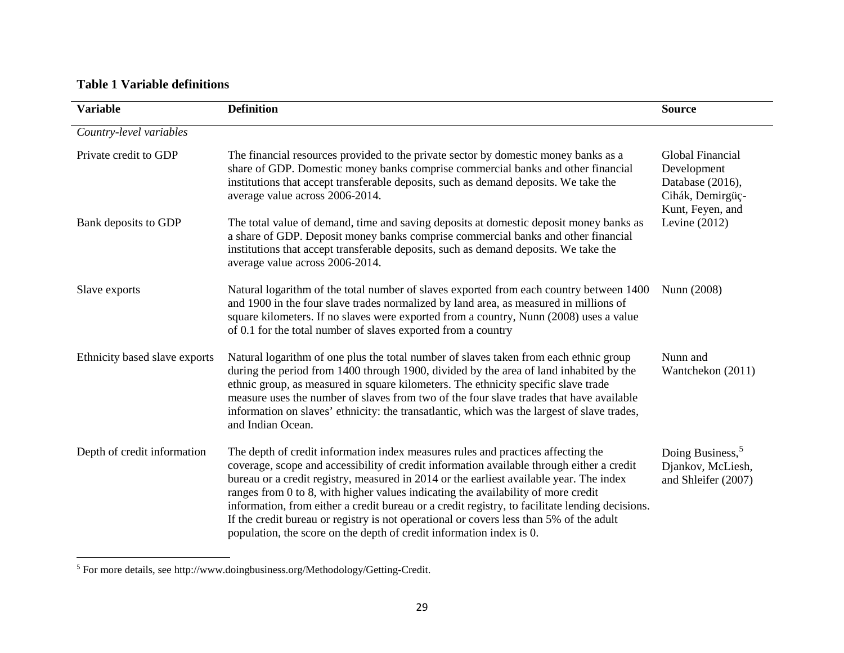# <span id="page-28-0"></span>**Table 1 Variable definitions**

l

| <b>Variable</b>               | <b>Definition</b>                                                                                                                                                                                                                                                                                                                                                                                                                                                                                                                                                                                                                   | <b>Source</b>                                                                               |
|-------------------------------|-------------------------------------------------------------------------------------------------------------------------------------------------------------------------------------------------------------------------------------------------------------------------------------------------------------------------------------------------------------------------------------------------------------------------------------------------------------------------------------------------------------------------------------------------------------------------------------------------------------------------------------|---------------------------------------------------------------------------------------------|
| Country-level variables       |                                                                                                                                                                                                                                                                                                                                                                                                                                                                                                                                                                                                                                     |                                                                                             |
| Private credit to GDP         | The financial resources provided to the private sector by domestic money banks as a<br>share of GDP. Domestic money banks comprise commercial banks and other financial<br>institutions that accept transferable deposits, such as demand deposits. We take the<br>average value across 2006-2014.                                                                                                                                                                                                                                                                                                                                  | Global Financial<br>Development<br>Database (2016),<br>Cihák, Demirgüç-<br>Kunt, Feyen, and |
| Bank deposits to GDP          | The total value of demand, time and saving deposits at domestic deposit money banks as<br>a share of GDP. Deposit money banks comprise commercial banks and other financial<br>institutions that accept transferable deposits, such as demand deposits. We take the<br>average value across 2006-2014.                                                                                                                                                                                                                                                                                                                              | Levine $(2012)$                                                                             |
| Slave exports                 | Natural logarithm of the total number of slaves exported from each country between 1400<br>and 1900 in the four slave trades normalized by land area, as measured in millions of<br>square kilometers. If no slaves were exported from a country, Nunn (2008) uses a value<br>of 0.1 for the total number of slaves exported from a country                                                                                                                                                                                                                                                                                         | Nunn (2008)                                                                                 |
| Ethnicity based slave exports | Natural logarithm of one plus the total number of slaves taken from each ethnic group<br>during the period from 1400 through 1900, divided by the area of land inhabited by the<br>ethnic group, as measured in square kilometers. The ethnicity specific slave trade<br>measure uses the number of slaves from two of the four slave trades that have available<br>information on slaves' ethnicity: the transatlantic, which was the largest of slave trades,<br>and Indian Ocean.                                                                                                                                                | Nunn and<br>Wantchekon (2011)                                                               |
| Depth of credit information   | The depth of credit information index measures rules and practices affecting the<br>coverage, scope and accessibility of credit information available through either a credit<br>bureau or a credit registry, measured in 2014 or the earliest available year. The index<br>ranges from 0 to 8, with higher values indicating the availability of more credit<br>information, from either a credit bureau or a credit registry, to facilitate lending decisions.<br>If the credit bureau or registry is not operational or covers less than 5% of the adult<br>population, the score on the depth of credit information index is 0. | Doing Business, <sup>5</sup><br>Djankov, McLiesh,<br>and Shleifer (2007)                    |

<sup>5</sup> For more details, see http://www.doingbusiness.org/Methodology/Getting-Credit.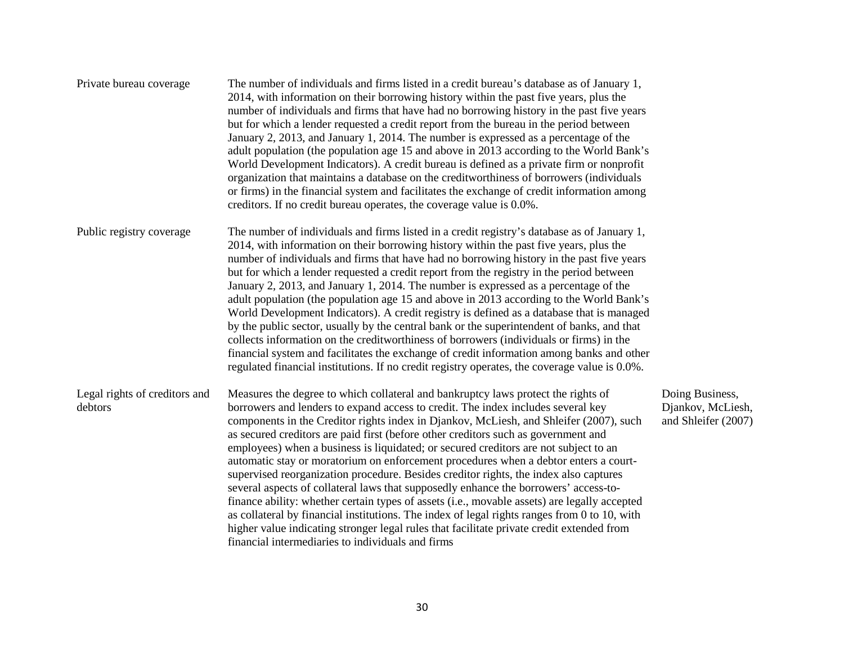| Private bureau coverage                  | The number of individuals and firms listed in a credit bureau's database as of January 1,<br>2014, with information on their borrowing history within the past five years, plus the<br>number of individuals and firms that have had no borrowing history in the past five years<br>but for which a lender requested a credit report from the bureau in the period between<br>January 2, 2013, and January 1, 2014. The number is expressed as a percentage of the<br>adult population (the population age 15 and above in 2013 according to the World Bank's<br>World Development Indicators). A credit bureau is defined as a private firm or nonprofit<br>organization that maintains a database on the creditworthiness of borrowers (individuals<br>or firms) in the financial system and facilitates the exchange of credit information among<br>creditors. If no credit bureau operates, the coverage value is 0.0%.                                                                                                                                              |                                                             |
|------------------------------------------|--------------------------------------------------------------------------------------------------------------------------------------------------------------------------------------------------------------------------------------------------------------------------------------------------------------------------------------------------------------------------------------------------------------------------------------------------------------------------------------------------------------------------------------------------------------------------------------------------------------------------------------------------------------------------------------------------------------------------------------------------------------------------------------------------------------------------------------------------------------------------------------------------------------------------------------------------------------------------------------------------------------------------------------------------------------------------|-------------------------------------------------------------|
| Public registry coverage                 | The number of individuals and firms listed in a credit registry's database as of January 1,<br>2014, with information on their borrowing history within the past five years, plus the<br>number of individuals and firms that have had no borrowing history in the past five years<br>but for which a lender requested a credit report from the registry in the period between<br>January 2, 2013, and January 1, 2014. The number is expressed as a percentage of the<br>adult population (the population age 15 and above in 2013 according to the World Bank's<br>World Development Indicators). A credit registry is defined as a database that is managed<br>by the public sector, usually by the central bank or the superintendent of banks, and that<br>collects information on the creditworthiness of borrowers (individuals or firms) in the<br>financial system and facilitates the exchange of credit information among banks and other<br>regulated financial institutions. If no credit registry operates, the coverage value is 0.0%.                    |                                                             |
| Legal rights of creditors and<br>debtors | Measures the degree to which collateral and bankruptcy laws protect the rights of<br>borrowers and lenders to expand access to credit. The index includes several key<br>components in the Creditor rights index in Djankov, McLiesh, and Shleifer (2007), such<br>as secured creditors are paid first (before other creditors such as government and<br>employees) when a business is liquidated; or secured creditors are not subject to an<br>automatic stay or moratorium on enforcement procedures when a debtor enters a court-<br>supervised reorganization procedure. Besides creditor rights, the index also captures<br>several aspects of collateral laws that supposedly enhance the borrowers' access-to-<br>finance ability: whether certain types of assets (i.e., movable assets) are legally accepted<br>as collateral by financial institutions. The index of legal rights ranges from 0 to 10, with<br>higher value indicating stronger legal rules that facilitate private credit extended from<br>financial intermediaries to individuals and firms | Doing Business,<br>Djankov, McLiesh,<br>and Shleifer (2007) |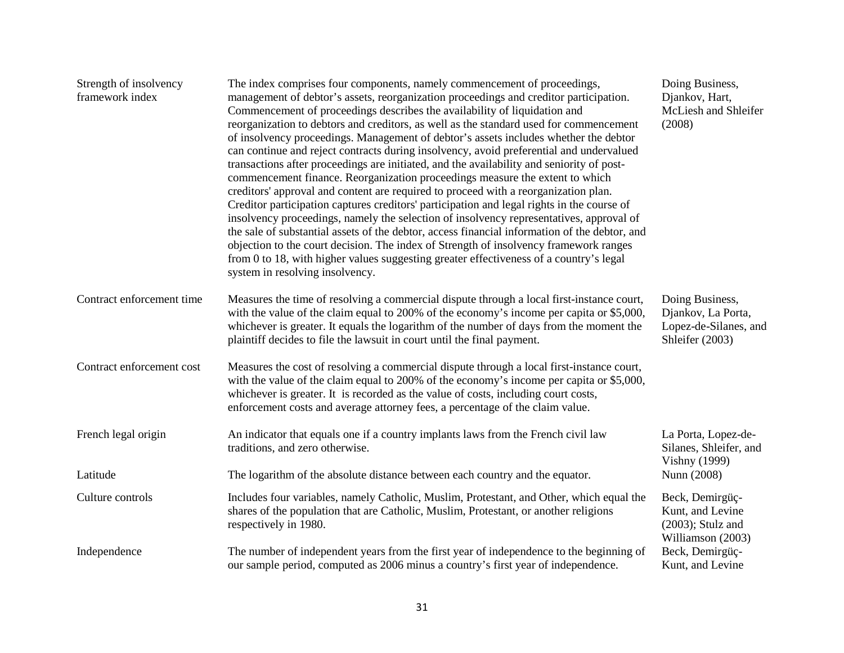| Strength of insolvency<br>framework index | The index comprises four components, namely commencement of proceedings,<br>management of debtor's assets, reorganization proceedings and creditor participation.<br>Commencement of proceedings describes the availability of liquidation and<br>reorganization to debtors and creditors, as well as the standard used for commencement<br>of insolvency proceedings. Management of debtor's assets includes whether the debtor<br>can continue and reject contracts during insolvency, avoid preferential and undervalued<br>transactions after proceedings are initiated, and the availability and seniority of post-<br>commencement finance. Reorganization proceedings measure the extent to which<br>creditors' approval and content are required to proceed with a reorganization plan.<br>Creditor participation captures creditors' participation and legal rights in the course of<br>insolvency proceedings, namely the selection of insolvency representatives, approval of<br>the sale of substantial assets of the debtor, access financial information of the debtor, and<br>objection to the court decision. The index of Strength of insolvency framework ranges<br>from 0 to 18, with higher values suggesting greater effectiveness of a country's legal<br>system in resolving insolvency. | Doing Business,<br>Djankov, Hart,<br>McLiesh and Shleifer<br>(2008)               |  |
|-------------------------------------------|-----------------------------------------------------------------------------------------------------------------------------------------------------------------------------------------------------------------------------------------------------------------------------------------------------------------------------------------------------------------------------------------------------------------------------------------------------------------------------------------------------------------------------------------------------------------------------------------------------------------------------------------------------------------------------------------------------------------------------------------------------------------------------------------------------------------------------------------------------------------------------------------------------------------------------------------------------------------------------------------------------------------------------------------------------------------------------------------------------------------------------------------------------------------------------------------------------------------------------------------------------------------------------------------------------------------|-----------------------------------------------------------------------------------|--|
| Contract enforcement time                 | Measures the time of resolving a commercial dispute through a local first-instance court,<br>with the value of the claim equal to 200% of the economy's income per capita or \$5,000,<br>whichever is greater. It equals the logarithm of the number of days from the moment the<br>plaintiff decides to file the lawsuit in court until the final payment.                                                                                                                                                                                                                                                                                                                                                                                                                                                                                                                                                                                                                                                                                                                                                                                                                                                                                                                                                     | Doing Business,<br>Djankov, La Porta,<br>Lopez-de-Silanes, and<br>Shleifer (2003) |  |
| Contract enforcement cost                 | Measures the cost of resolving a commercial dispute through a local first-instance court,<br>with the value of the claim equal to 200% of the economy's income per capita or \$5,000,<br>whichever is greater. It is recorded as the value of costs, including court costs,<br>enforcement costs and average attorney fees, a percentage of the claim value.                                                                                                                                                                                                                                                                                                                                                                                                                                                                                                                                                                                                                                                                                                                                                                                                                                                                                                                                                    |                                                                                   |  |
| French legal origin                       | An indicator that equals one if a country implants laws from the French civil law<br>traditions, and zero otherwise.                                                                                                                                                                                                                                                                                                                                                                                                                                                                                                                                                                                                                                                                                                                                                                                                                                                                                                                                                                                                                                                                                                                                                                                            |                                                                                   |  |
| Latitude                                  | The logarithm of the absolute distance between each country and the equator.                                                                                                                                                                                                                                                                                                                                                                                                                                                                                                                                                                                                                                                                                                                                                                                                                                                                                                                                                                                                                                                                                                                                                                                                                                    | <b>Vishny</b> (1999)<br>Nunn (2008)                                               |  |
| Culture controls                          | Includes four variables, namely Catholic, Muslim, Protestant, and Other, which equal the<br>shares of the population that are Catholic, Muslim, Protestant, or another religions<br>respectively in 1980.                                                                                                                                                                                                                                                                                                                                                                                                                                                                                                                                                                                                                                                                                                                                                                                                                                                                                                                                                                                                                                                                                                       | Beck, Demirgüç-<br>Kunt, and Levine<br>$(2003)$ ; Stulz and<br>Williamson (2003)  |  |
| Independence                              | Beck, Demirgüç-<br>Kunt, and Levine                                                                                                                                                                                                                                                                                                                                                                                                                                                                                                                                                                                                                                                                                                                                                                                                                                                                                                                                                                                                                                                                                                                                                                                                                                                                             |                                                                                   |  |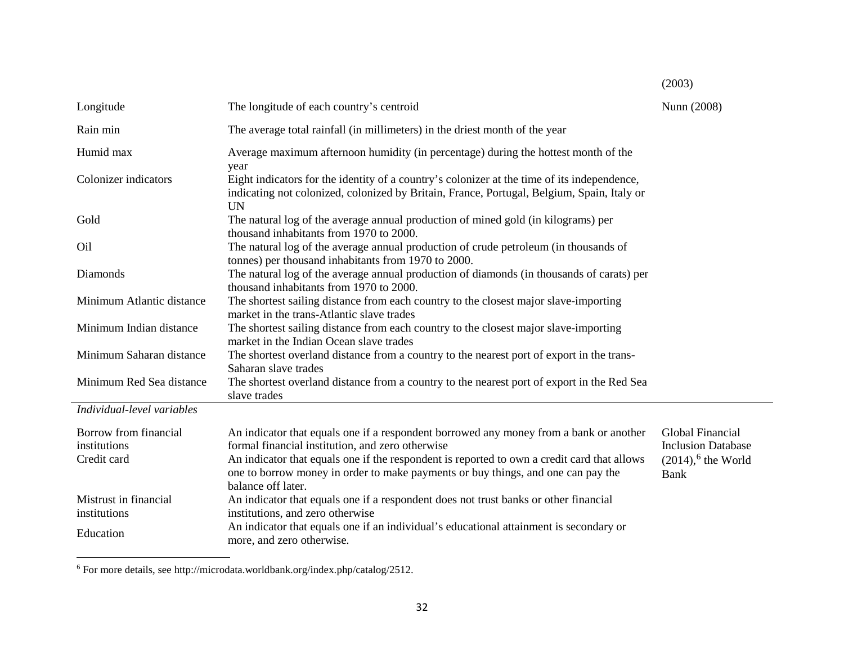| Longitude                                            | The longitude of each country's centroid                                                                                                                                                                                                                                                                                      | Nunn (2008)                                                                                |
|------------------------------------------------------|-------------------------------------------------------------------------------------------------------------------------------------------------------------------------------------------------------------------------------------------------------------------------------------------------------------------------------|--------------------------------------------------------------------------------------------|
| Rain min                                             | The average total rainfall (in millimeters) in the driest month of the year                                                                                                                                                                                                                                                   |                                                                                            |
| Humid max                                            | Average maximum afternoon humidity (in percentage) during the hottest month of the<br>year                                                                                                                                                                                                                                    |                                                                                            |
| Colonizer indicators                                 | Eight indicators for the identity of a country's colonizer at the time of its independence,<br>indicating not colonized, colonized by Britain, France, Portugal, Belgium, Spain, Italy or<br><b>UN</b>                                                                                                                        |                                                                                            |
| Gold                                                 | The natural log of the average annual production of mined gold (in kilograms) per<br>thousand inhabitants from 1970 to 2000.                                                                                                                                                                                                  |                                                                                            |
| O <sub>il</sub>                                      | The natural log of the average annual production of crude petroleum (in thousands of<br>tonnes) per thousand inhabitants from 1970 to 2000.                                                                                                                                                                                   |                                                                                            |
| Diamonds                                             | The natural log of the average annual production of diamonds (in thousands of carats) per<br>thousand inhabitants from 1970 to 2000.                                                                                                                                                                                          |                                                                                            |
| Minimum Atlantic distance                            | The shortest sailing distance from each country to the closest major slave-importing<br>market in the trans-Atlantic slave trades                                                                                                                                                                                             |                                                                                            |
| Minimum Indian distance                              | The shortest sailing distance from each country to the closest major slave-importing<br>market in the Indian Ocean slave trades                                                                                                                                                                                               |                                                                                            |
| Minimum Saharan distance                             | The shortest overland distance from a country to the nearest port of export in the trans-<br>Saharan slave trades                                                                                                                                                                                                             |                                                                                            |
| Minimum Red Sea distance                             | The shortest overland distance from a country to the nearest port of export in the Red Sea<br>slave trades                                                                                                                                                                                                                    |                                                                                            |
| Individual-level variables                           |                                                                                                                                                                                                                                                                                                                               |                                                                                            |
| Borrow from financial<br>institutions<br>Credit card | An indicator that equals one if a respondent borrowed any money from a bank or another<br>formal financial institution, and zero otherwise<br>An indicator that equals one if the respondent is reported to own a credit card that allows<br>one to borrow money in order to make payments or buy things, and one can pay the | Global Financial<br><b>Inclusion Database</b><br>$(2014)$ , <sup>6</sup> the World<br>Bank |
| Mistrust in financial<br>institutions                | balance off later.<br>An indicator that equals one if a respondent does not trust banks or other financial<br>institutions, and zero otherwise                                                                                                                                                                                |                                                                                            |
| Education                                            | An indicator that equals one if an individual's educational attainment is secondary or<br>more, and zero otherwise.                                                                                                                                                                                                           |                                                                                            |

<span id="page-31-0"></span>(2003)

 $6$  For more details, see http://microdata.worldbank.org/index.php/catalog/2512.

l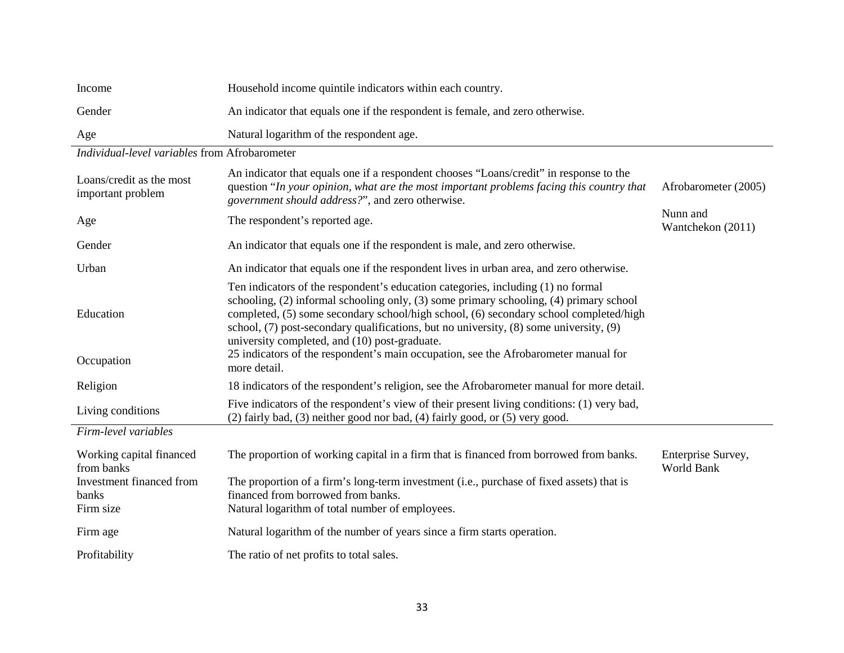| Income | Household income quintile indicators within each country.                     |
|--------|-------------------------------------------------------------------------------|
| Gender | An indicator that equals one if the respondent is female, and zero otherwise. |
| Age    | Natural logarithm of the respondent age.                                      |

*Individual-level variables* from Afrobarometer

| Loans/credit as the most<br>important problem | An indicator that equals one if a respondent chooses "Loans/credit" in response to the<br>question "In your opinion, what are the most important problems facing this country that<br>government should address?", and zero otherwise.                                                                                                                                                                         | Afrobarometer (2005)             |
|-----------------------------------------------|----------------------------------------------------------------------------------------------------------------------------------------------------------------------------------------------------------------------------------------------------------------------------------------------------------------------------------------------------------------------------------------------------------------|----------------------------------|
| Age                                           | The respondent's reported age.                                                                                                                                                                                                                                                                                                                                                                                 | Nunn and<br>Wantchekon (2011)    |
| Gender                                        | An indicator that equals one if the respondent is male, and zero otherwise.                                                                                                                                                                                                                                                                                                                                    |                                  |
| Urban                                         | An indicator that equals one if the respondent lives in urban area, and zero otherwise.                                                                                                                                                                                                                                                                                                                        |                                  |
| Education                                     | Ten indicators of the respondent's education categories, including (1) no formal<br>schooling, (2) informal schooling only, (3) some primary schooling, (4) primary school<br>completed, (5) some secondary school/high school, (6) secondary school completed/high<br>school, (7) post-secondary qualifications, but no university, (8) some university, (9)<br>university completed, and (10) post-graduate. |                                  |
| Occupation                                    | 25 indicators of the respondent's main occupation, see the Afrobarometer manual for<br>more detail.                                                                                                                                                                                                                                                                                                            |                                  |
| Religion                                      | 18 indicators of the respondent's religion, see the Afrobarometer manual for more detail.                                                                                                                                                                                                                                                                                                                      |                                  |
| Living conditions                             | Five indicators of the respondent's view of their present living conditions: (1) very bad,<br>(2) fairly bad, (3) neither good nor bad, (4) fairly good, or (5) very good.                                                                                                                                                                                                                                     |                                  |
| Firm-level variables                          |                                                                                                                                                                                                                                                                                                                                                                                                                |                                  |
| Working capital financed<br>from banks        | The proportion of working capital in a firm that is financed from borrowed from banks.                                                                                                                                                                                                                                                                                                                         | Enterprise Survey,<br>World Bank |
| Investment financed from<br>banks             | The proportion of a firm's long-term investment (i.e., purchase of fixed assets) that is<br>financed from borrowed from banks.                                                                                                                                                                                                                                                                                 |                                  |
| Firm size                                     | Natural logarithm of total number of employees.                                                                                                                                                                                                                                                                                                                                                                |                                  |
| Firm age                                      | Natural logarithm of the number of years since a firm starts operation.                                                                                                                                                                                                                                                                                                                                        |                                  |
| Profitability                                 | The ratio of net profits to total sales.                                                                                                                                                                                                                                                                                                                                                                       |                                  |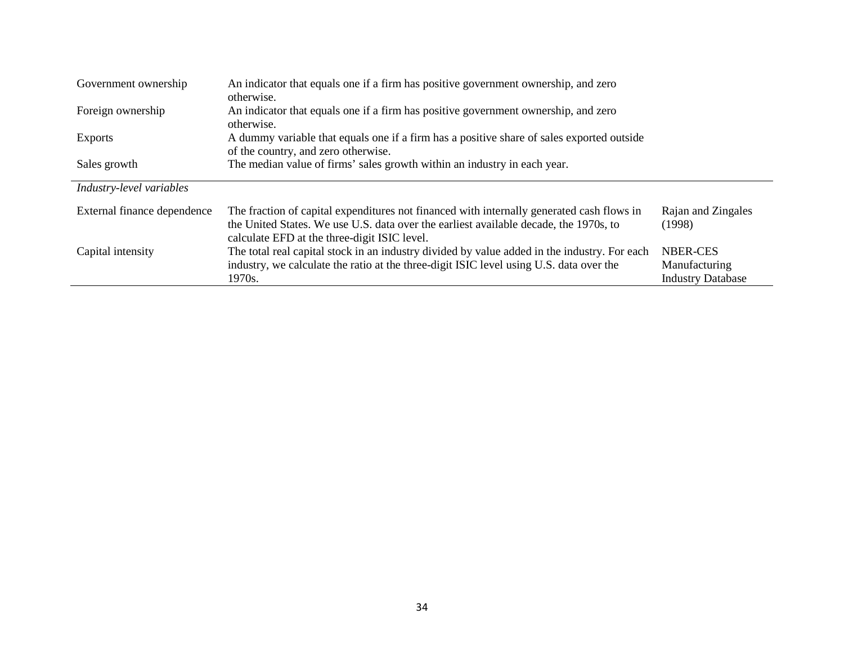| Government ownership        | An indicator that equals one if a firm has positive government ownership, and zero<br>otherwise.                                                                                                                                   |                                                       |
|-----------------------------|------------------------------------------------------------------------------------------------------------------------------------------------------------------------------------------------------------------------------------|-------------------------------------------------------|
| Foreign ownership           | An indicator that equals one if a firm has positive government ownership, and zero<br>otherwise.                                                                                                                                   |                                                       |
| <b>Exports</b>              | A dummy variable that equals one if a firm has a positive share of sales exported outside<br>of the country, and zero otherwise.                                                                                                   |                                                       |
| Sales growth                | The median value of firms' sales growth within an industry in each year.                                                                                                                                                           |                                                       |
| Industry-level variables    |                                                                                                                                                                                                                                    |                                                       |
| External finance dependence | The fraction of capital expenditures not financed with internally generated cash flows in<br>the United States. We use U.S. data over the earliest available decade, the 1970s, to<br>calculate EFD at the three-digit ISIC level. | Rajan and Zingales<br>(1998)                          |
| Capital intensity           | The total real capital stock in an industry divided by value added in the industry. For each<br>industry, we calculate the ratio at the three-digit ISIC level using U.S. data over the<br>1970s.                                  | NBER-CES<br>Manufacturing<br><b>Industry Database</b> |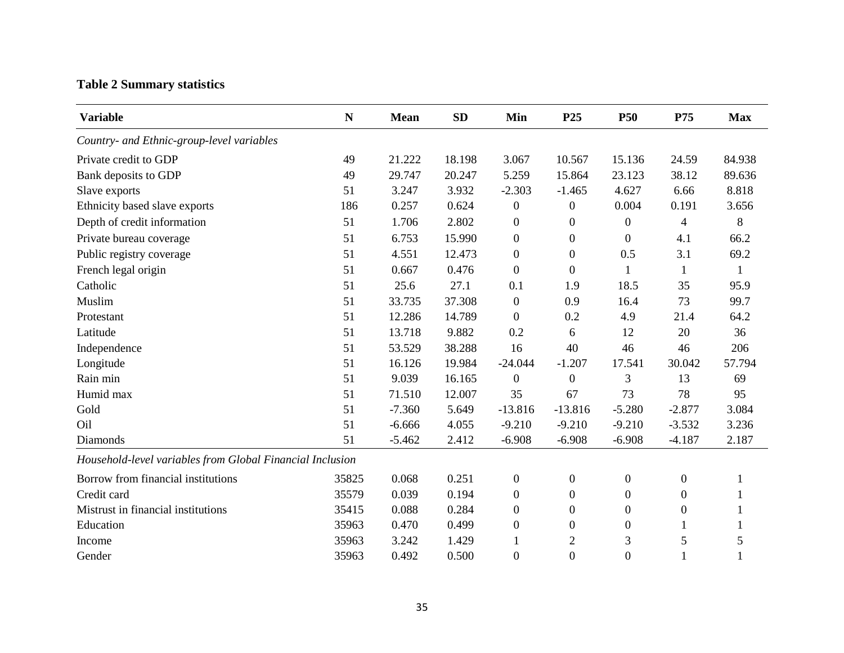# **Table 2 Summary statistics**

| <b>Variable</b>                                           | ${\bf N}$ | <b>Mean</b> | <b>SD</b> | Min              | P <sub>25</sub>  | <b>P50</b>       | P75              | <b>Max</b> |
|-----------------------------------------------------------|-----------|-------------|-----------|------------------|------------------|------------------|------------------|------------|
| Country- and Ethnic-group-level variables                 |           |             |           |                  |                  |                  |                  |            |
| Private credit to GDP                                     | 49        | 21.222      | 18.198    | 3.067            | 10.567           | 15.136           | 24.59            | 84.938     |
| Bank deposits to GDP                                      | 49        | 29.747      | 20.247    | 5.259            | 15.864           | 23.123           | 38.12            | 89.636     |
| Slave exports                                             | 51        | 3.247       | 3.932     | $-2.303$         | $-1.465$         | 4.627            | 6.66             | 8.818      |
| Ethnicity based slave exports                             | 186       | 0.257       | 0.624     | $\boldsymbol{0}$ | $\boldsymbol{0}$ | 0.004            | 0.191            | 3.656      |
| Depth of credit information                               | 51        | 1.706       | 2.802     | $\boldsymbol{0}$ | 0                | $\boldsymbol{0}$ | 4                | 8          |
| Private bureau coverage                                   | 51        | 6.753       | 15.990    | $\boldsymbol{0}$ | $\boldsymbol{0}$ | $\boldsymbol{0}$ | 4.1              | 66.2       |
| Public registry coverage                                  | 51        | 4.551       | 12.473    | $\boldsymbol{0}$ | $\boldsymbol{0}$ | 0.5              | 3.1              | 69.2       |
| French legal origin                                       | 51        | 0.667       | 0.476     | $\theta$         | $\overline{0}$   | 1                | 1                | 1          |
| Catholic                                                  | 51        | 25.6        | 27.1      | 0.1              | 1.9              | 18.5             | 35               | 95.9       |
| Muslim                                                    | 51        | 33.735      | 37.308    | $\boldsymbol{0}$ | 0.9              | 16.4             | 73               | 99.7       |
| Protestant                                                | 51        | 12.286      | 14.789    | $\boldsymbol{0}$ | 0.2              | 4.9              | 21.4             | 64.2       |
| Latitude                                                  | 51        | 13.718      | 9.882     | 0.2              | 6                | 12               | 20               | 36         |
| Independence                                              | 51        | 53.529      | 38.288    | 16               | 40               | 46               | 46               | 206        |
| Longitude                                                 | 51        | 16.126      | 19.984    | $-24.044$        | $-1.207$         | 17.541           | 30.042           | 57.794     |
| Rain min                                                  | 51        | 9.039       | 16.165    | $\boldsymbol{0}$ | $\boldsymbol{0}$ | 3                | 13               | 69         |
| Humid max                                                 | 51        | 71.510      | 12.007    | 35               | 67               | 73               | 78               | 95         |
| Gold                                                      | 51        | $-7.360$    | 5.649     | $-13.816$        | $-13.816$        | $-5.280$         | $-2.877$         | 3.084      |
| Oil                                                       | 51        | $-6.666$    | 4.055     | $-9.210$         | $-9.210$         | $-9.210$         | $-3.532$         | 3.236      |
| Diamonds                                                  | 51        | $-5.462$    | 2.412     | $-6.908$         | $-6.908$         | $-6.908$         | $-4.187$         | 2.187      |
| Household-level variables from Global Financial Inclusion |           |             |           |                  |                  |                  |                  |            |
| Borrow from financial institutions                        | 35825     | 0.068       | 0.251     | $\boldsymbol{0}$ | $\boldsymbol{0}$ | $\boldsymbol{0}$ | $\boldsymbol{0}$ | 1          |
| Credit card                                               | 35579     | 0.039       | 0.194     | $\boldsymbol{0}$ | $\boldsymbol{0}$ | $\boldsymbol{0}$ | $\boldsymbol{0}$ |            |
| Mistrust in financial institutions                        | 35415     | 0.088       | 0.284     | $\boldsymbol{0}$ | $\boldsymbol{0}$ | $\boldsymbol{0}$ | $\boldsymbol{0}$ |            |
| Education                                                 | 35963     | 0.470       | 0.499     | $\boldsymbol{0}$ | $\boldsymbol{0}$ | $\boldsymbol{0}$ | 1                |            |
| Income                                                    | 35963     | 3.242       | 1.429     | 1                | $\overline{2}$   | 3                | 5                | 5          |
| Gender                                                    | 35963     | 0.492       | 0.500     | $\boldsymbol{0}$ | $\boldsymbol{0}$ | $\boldsymbol{0}$ |                  | 1          |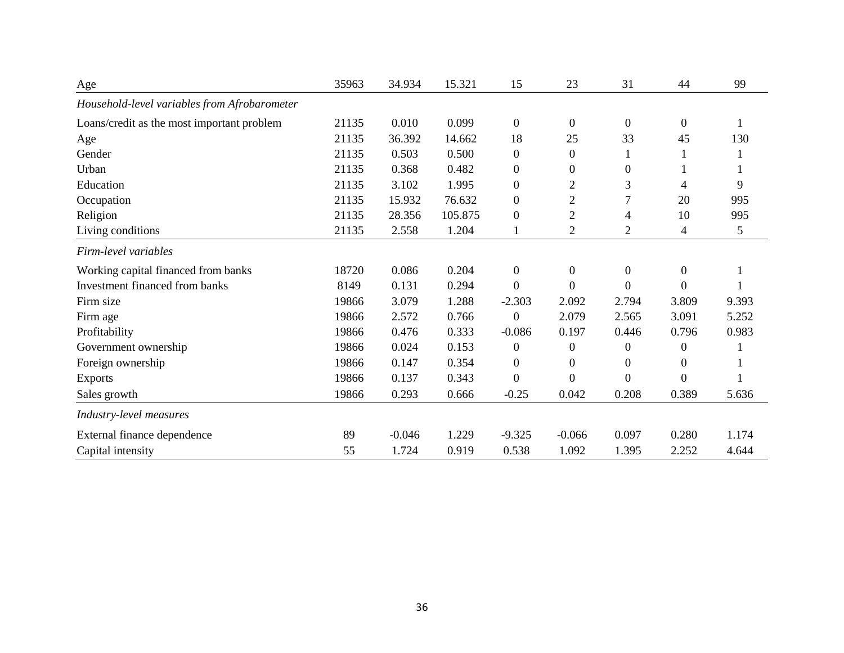| Age                                          | 35963 | 34.934   | 15.321  | 15               | 23             | 31               | 44               | 99    |
|----------------------------------------------|-------|----------|---------|------------------|----------------|------------------|------------------|-------|
| Household-level variables from Afrobarometer |       |          |         |                  |                |                  |                  |       |
| Loans/credit as the most important problem   | 21135 | 0.010    | 0.099   | $\boldsymbol{0}$ | $\overline{0}$ | $\boldsymbol{0}$ | $\boldsymbol{0}$ | 1     |
| Age                                          | 21135 | 36.392   | 14.662  | 18               | 25             | 33               | 45               | 130   |
| Gender                                       | 21135 | 0.503    | 0.500   | $\boldsymbol{0}$ | $\theta$       |                  |                  |       |
| Urban                                        | 21135 | 0.368    | 0.482   | $\overline{0}$   | $\overline{0}$ | $\overline{0}$   |                  |       |
| Education                                    | 21135 | 3.102    | 1.995   | $\overline{0}$   | $\overline{2}$ | 3                | 4                | 9     |
| Occupation                                   | 21135 | 15.932   | 76.632  | $\boldsymbol{0}$ | $\overline{2}$ | 7                | 20               | 995   |
| Religion                                     | 21135 | 28.356   | 105.875 | $\boldsymbol{0}$ | $\mathfrak{2}$ | 4                | 10               | 995   |
| Living conditions                            | 21135 | 2.558    | 1.204   | 1                | $\overline{2}$ | $\overline{2}$   | 4                | 5     |
| Firm-level variables                         |       |          |         |                  |                |                  |                  |       |
| Working capital financed from banks          | 18720 | 0.086    | 0.204   | $\mathbf{0}$     | $\mathbf{0}$   | $\mathbf{0}$     | $\mathbf{0}$     |       |
| Investment financed from banks               | 8149  | 0.131    | 0.294   | $\theta$         | $\overline{0}$ | $\theta$         | $\boldsymbol{0}$ |       |
| Firm size                                    | 19866 | 3.079    | 1.288   | $-2.303$         | 2.092          | 2.794            | 3.809            | 9.393 |
| Firm age                                     | 19866 | 2.572    | 0.766   | $\mathbf{0}$     | 2.079          | 2.565            | 3.091            | 5.252 |
| Profitability                                | 19866 | 0.476    | 0.333   | $-0.086$         | 0.197          | 0.446            | 0.796            | 0.983 |
| Government ownership                         | 19866 | 0.024    | 0.153   | $\boldsymbol{0}$ | $\overline{0}$ | $\overline{0}$   | $\overline{0}$   |       |
| Foreign ownership                            | 19866 | 0.147    | 0.354   | $\boldsymbol{0}$ | $\overline{0}$ | $\overline{0}$   | $\overline{0}$   |       |
| <b>Exports</b>                               | 19866 | 0.137    | 0.343   | $\overline{0}$   | $\mathbf{0}$   | $\mathbf{0}$     | $\overline{0}$   |       |
| Sales growth                                 | 19866 | 0.293    | 0.666   | $-0.25$          | 0.042          | 0.208            | 0.389            | 5.636 |
| Industry-level measures                      |       |          |         |                  |                |                  |                  |       |
| External finance dependence                  | 89    | $-0.046$ | 1.229   | $-9.325$         | $-0.066$       | 0.097            | 0.280            | 1.174 |
| Capital intensity                            | 55    | 1.724    | 0.919   | 0.538            | 1.092          | 1.395            | 2.252            | 4.644 |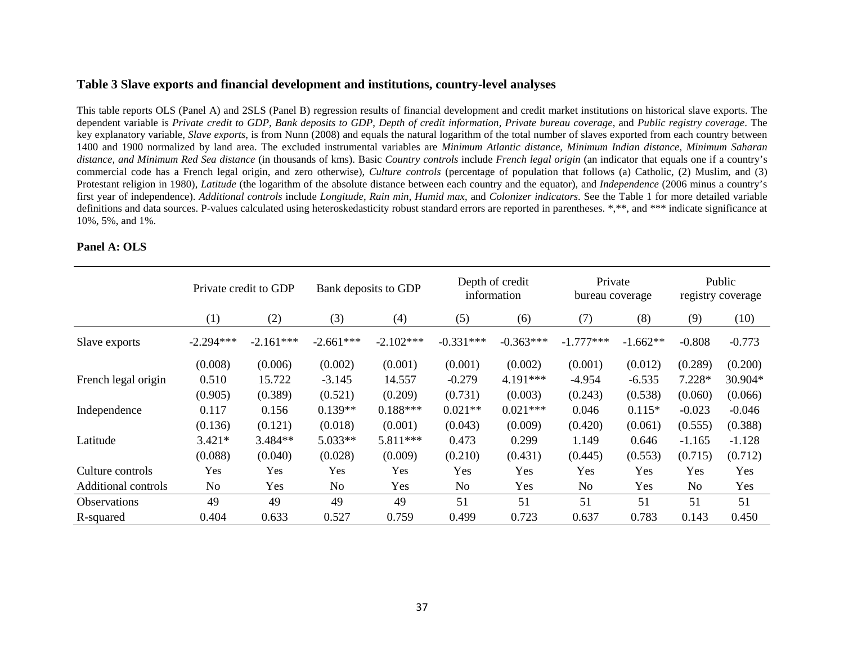### **Table 3 Slave exports and financial development and institutions, country-level analyses**

This table reports OLS (Panel A) and 2SLS (Panel B) regression results of financial development and credit market institutions on historical slave exports. The dependent variable is *Private credit to GDP*, *Bank deposits to GDP*, *Depth of credit information*, *Private bureau coverage*, and *Public registry coverage*. The key explanatory variable, *Slave exports*, is from Nunn (2008) and equals the natural logarithm of the total number of slaves exported from each country between 1400 and 1900 normalized by land area. The excluded instrumental variables are *Minimum Atlantic distance, Minimum Indian distance, Minimum Saharan distance, and Minimum Red Sea distance* (in thousands of kms). Basic *Country controls* include *French legal origin* (an indicator that equals one if a country's commercial code has a French legal origin, and zero otherwise), *Culture controls* (percentage of population that follows (a) Catholic, (2) Muslim, and (3) Protestant religion in 1980), *Latitude* (the logarithm of the absolute distance between each country and the equator), and *Independence* (2006 minus a country's first year of independence). *Additional controls* include *Longitude*, *Rain min*, *Humid max*, and *Colonizer indicators*. See the Table 1 for more detailed variable definitions and data sources. P-values calculated using heteroskedasticity robust standard errors are reported in parentheses. \*,\*\*, and \*\*\* indicate significance at 10%, 5%, and 1%.

### **Panel A: OLS**

|                     |                  | Private credit to GDP | Bank deposits to GDP |             | Depth of credit<br>information |             | Private<br>bureau coverage |            | Public<br>registry coverage |          |
|---------------------|------------------|-----------------------|----------------------|-------------|--------------------------------|-------------|----------------------------|------------|-----------------------------|----------|
|                     | $\left(1\right)$ | (2)                   | (3)                  | (4)         | (5)                            | (6)         | (7)                        | (8)        | (9)                         | (10)     |
| Slave exports       | $-2.294***$      | $-2.161***$           | $-2.661***$          | $-2.102***$ | $-0.331***$                    | $-0.363***$ | $-1.777***$                | $-1.662**$ | $-0.808$                    | $-0.773$ |
|                     | (0.008)          | (0.006)               | (0.002)              | (0.001)     | (0.001)                        | (0.002)     | (0.001)                    | (0.012)    | (0.289)                     | (0.200)  |
| French legal origin | 0.510            | 15.722                | $-3.145$             | 14.557      | $-0.279$                       | 4.191***    | $-4.954$                   | $-6.535$   | $7.228*$                    | 30.904*  |
|                     | (0.905)          | (0.389)               | (0.521)              | (0.209)     | (0.731)                        | (0.003)     | (0.243)                    | (0.538)    | (0.060)                     | (0.066)  |
| Independence        | 0.117            | 0.156                 | $0.139**$            | $0.188***$  | $0.021**$                      | $0.021***$  | 0.046                      | $0.115*$   | $-0.023$                    | $-0.046$ |
|                     | (0.136)          | (0.121)               | (0.018)              | (0.001)     | (0.043)                        | (0.009)     | (0.420)                    | (0.061)    | (0.555)                     | (0.388)  |
| Latitude            | $3.421*$         | 3.484**               | 5.033**              | 5.811***    | 0.473                          | 0.299       | 1.149                      | 0.646      | $-1.165$                    | $-1.128$ |
|                     | (0.088)          | (0.040)               | (0.028)              | (0.009)     | (0.210)                        | (0.431)     | (0.445)                    | (0.553)    | (0.715)                     | (0.712)  |
| Culture controls    | Yes              | Yes                   | Yes                  | Yes         | Yes                            | <b>Yes</b>  | <b>Yes</b>                 | Yes        | Yes                         | Yes      |
| Additional controls | N <sub>o</sub>   | Yes                   | No                   | Yes         | N <sub>o</sub>                 | Yes         | No                         | Yes        | N <sub>0</sub>              | Yes      |
| <b>Observations</b> | 49               | 49                    | 49                   | 49          | 51                             | 51          | 51                         | 51         | 51                          | 51       |
| R-squared           | 0.404            | 0.633                 | 0.527                | 0.759       | 0.499                          | 0.723       | 0.637                      | 0.783      | 0.143                       | 0.450    |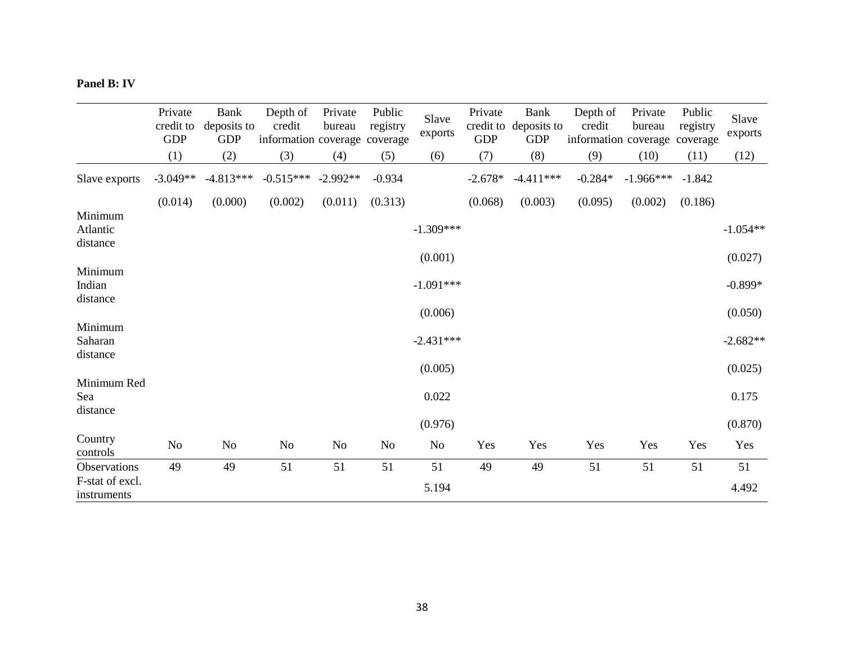### **Panel B: IV**

|                                 | Private<br>credit to<br><b>GDP</b> | Bank<br>deposits to<br><b>GDP</b> | Depth of<br>credit<br>information coverage coverage | Private<br>bureau | Public<br>registry | Slave<br>exports | Private<br>credit to<br><b>GDP</b> | <b>Bank</b><br>deposits to<br><b>GDP</b> | Depth of<br>credit<br>information coverage coverage | Private<br>bureau | Public<br>registry | Slave<br>exports |
|---------------------------------|------------------------------------|-----------------------------------|-----------------------------------------------------|-------------------|--------------------|------------------|------------------------------------|------------------------------------------|-----------------------------------------------------|-------------------|--------------------|------------------|
|                                 | (1)                                | (2)                               | (3)                                                 | (4)               | (5)                | (6)              | (7)                                | (8)                                      | (9)                                                 | (10)              | (11)               | (12)             |
| Slave exports                   | $-3.049**$                         | $-4.813***$                       | $-0.515***$                                         | $-2.992**$        | $-0.934$           |                  | $-2.678*$                          | $-4.411***$                              | $-0.284*$                                           | $-1.966***$       | $-1.842$           |                  |
|                                 | (0.014)                            | (0.000)                           | (0.002)                                             | (0.011)           | (0.313)            |                  | (0.068)                            | (0.003)                                  | (0.095)                                             | (0.002)           | (0.186)            |                  |
| Minimum<br>Atlantic<br>distance |                                    |                                   |                                                     |                   |                    | $-1.309***$      |                                    |                                          |                                                     |                   |                    | $-1.054**$       |
|                                 |                                    |                                   |                                                     |                   |                    | (0.001)          |                                    |                                          |                                                     |                   |                    | (0.027)          |
| Minimum<br>Indian<br>distance   |                                    |                                   |                                                     |                   |                    | $-1.091***$      |                                    |                                          |                                                     |                   |                    | $-0.899*$        |
|                                 |                                    |                                   |                                                     |                   |                    | (0.006)          |                                    |                                          |                                                     |                   |                    | (0.050)          |
| Minimum<br>Saharan<br>distance  |                                    |                                   |                                                     |                   |                    | $-2.431***$      |                                    |                                          |                                                     |                   |                    | $-2.682**$       |
|                                 |                                    |                                   |                                                     |                   |                    | (0.005)          |                                    |                                          |                                                     |                   |                    | (0.025)          |
| Minimum Red<br>Sea<br>distance  |                                    |                                   |                                                     |                   |                    | 0.022            |                                    |                                          |                                                     |                   |                    | 0.175            |
|                                 |                                    |                                   |                                                     |                   |                    | (0.976)          |                                    |                                          |                                                     |                   |                    | (0.870)          |
| Country<br>controls             | $\rm No$                           | No                                | No                                                  | No                | No                 | No               | Yes                                | Yes                                      | Yes                                                 | Yes               | Yes                | Yes              |
| Observations                    | 49                                 | 49                                | 51                                                  | 51                | 51                 | 51               | 49                                 | 49                                       | 51                                                  | 51                | 51                 | 51               |
| F-stat of excl.<br>instruments  |                                    |                                   |                                                     |                   |                    | 5.194            |                                    |                                          |                                                     |                   |                    | 4.492            |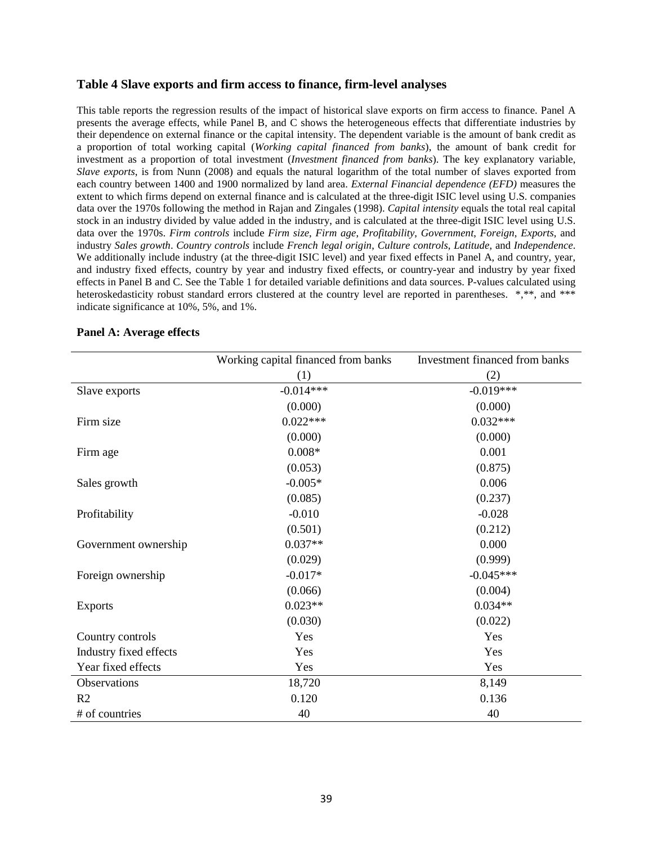### **Table 4 Slave exports and firm access to finance, firm-level analyses**

This table reports the regression results of the impact of historical slave exports on firm access to finance. Panel A presents the average effects, while Panel B, and C shows the heterogeneous effects that differentiate industries by their dependence on external finance or the capital intensity. The dependent variable is the amount of bank credit as a proportion of total working capital (*Working capital financed from banks*), the amount of bank credit for investment as a proportion of total investment (*Investment financed from banks*). The key explanatory variable, *Slave exports*, is from Nunn (2008) and equals the natural logarithm of the total number of slaves exported from each country between 1400 and 1900 normalized by land area. *External Financial dependence (EFD)* measures the extent to which firms depend on external finance and is calculated at the three-digit ISIC level using U.S. companies data over the 1970s following the method in Rajan and Zingales (1998). *Capital intensity* equals the total real capital stock in an industry divided by value added in the industry, and is calculated at the three-digit ISIC level using U.S. data over the 1970s. *Firm controls* include *Firm size*, *Firm age*, *Profitability*, *Government*, *Foreign*, *Exports*, and industry *Sales growth*. *Country controls* include *French legal origin*, *Culture controls*, *Latitude*, and *Independence*. We additionally include industry (at the three-digit ISIC level) and year fixed effects in Panel A, and country, year, and industry fixed effects, country by year and industry fixed effects, or country-year and industry by year fixed effects in Panel B and C. See the Table 1 for detailed variable definitions and data sources. P-values calculated using heteroskedasticity robust standard errors clustered at the country level are reported in parentheses. \*,\*\*, and \*\*\* indicate significance at 10%, 5%, and 1%.

|                        | Working capital financed from banks | Investment financed from banks |
|------------------------|-------------------------------------|--------------------------------|
|                        | (1)                                 | (2)                            |
| Slave exports          | $-0.014***$                         | $-0.019***$                    |
|                        | (0.000)                             | (0.000)                        |
| Firm size              | $0.022***$                          | $0.032***$                     |
|                        | (0.000)                             | (0.000)                        |
| Firm age               | $0.008*$                            | 0.001                          |
|                        | (0.053)                             | (0.875)                        |
| Sales growth           | $-0.005*$                           | 0.006                          |
|                        | (0.085)                             | (0.237)                        |
| Profitability          | $-0.010$                            | $-0.028$                       |
|                        | (0.501)                             | (0.212)                        |
| Government ownership   | $0.037**$                           | 0.000                          |
|                        | (0.029)                             | (0.999)                        |
| Foreign ownership      | $-0.017*$                           | $-0.045***$                    |
|                        | (0.066)                             | (0.004)                        |
| <b>Exports</b>         | $0.023**$                           | $0.034**$                      |
|                        | (0.030)                             | (0.022)                        |
| Country controls       | Yes                                 | Yes                            |
| Industry fixed effects | Yes                                 | Yes                            |
| Year fixed effects     | Yes                                 | Yes                            |
| Observations           | 18,720                              | 8,149                          |
| R <sub>2</sub>         | 0.120                               | 0.136                          |
| # of countries         | 40                                  | 40                             |

### **Panel A: Average effects**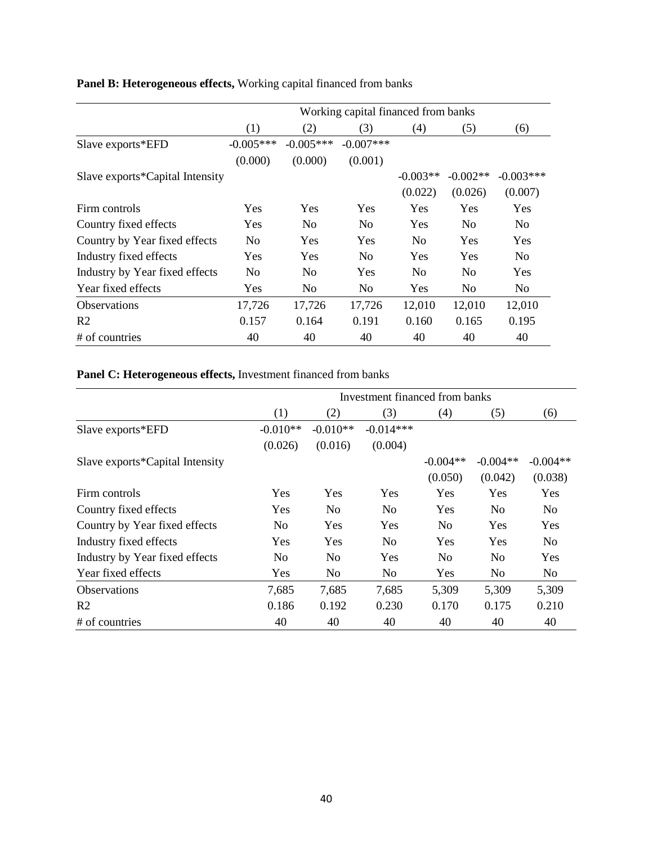|                                 | Working capital financed from banks |                |                |                |            |                |  |
|---------------------------------|-------------------------------------|----------------|----------------|----------------|------------|----------------|--|
|                                 | (1)                                 | (2)            | (3)            | (4)            | (5)        | (6)            |  |
| Slave exports*EFD               | $-0.005***$                         | $-0.005***$    | $-0.007$ ***   |                |            |                |  |
|                                 | (0.000)                             | (0.000)        | (0.001)        |                |            |                |  |
| Slave exports*Capital Intensity |                                     |                |                | $-0.003**$     | $-0.002**$ | $-0.003***$    |  |
|                                 |                                     |                |                | (0.022)        | (0.026)    | (0.007)        |  |
| Firm controls                   | <b>Yes</b>                          | Yes            | <b>Yes</b>     | Yes            | Yes        | Yes            |  |
| Country fixed effects           | <b>Yes</b>                          | N <sub>0</sub> | N <sub>0</sub> | Yes            | No.        | N <sub>0</sub> |  |
| Country by Year fixed effects   | N <sub>0</sub>                      | <b>Yes</b>     | <b>Yes</b>     | N <sub>0</sub> | <b>Yes</b> | Yes            |  |
| Industry fixed effects          | <b>Yes</b>                          | <b>Yes</b>     | N <sub>0</sub> | <b>Yes</b>     | <b>Yes</b> | N <sub>0</sub> |  |
| Industry by Year fixed effects  | No                                  | N <sub>0</sub> | <b>Yes</b>     | No             | No         | Yes            |  |
| Year fixed effects              | <b>Yes</b>                          | N <sub>0</sub> | N <sub>0</sub> | Yes            | No.        | N <sub>0</sub> |  |
| <b>Observations</b>             | 17,726                              | 17,726         | 17,726         | 12,010         | 12,010     | 12,010         |  |
| R <sub>2</sub>                  | 0.157                               | 0.164          | 0.191          | 0.160          | 0.165      | 0.195          |  |
| # of countries                  | 40                                  | 40             | 40             | 40             | 40         | 40             |  |

# **Panel B: Heterogeneous effects,** Working capital financed from banks

# **Panel C: Heterogeneous effects,** Investment financed from banks

|                                 | Investment financed from banks |                |             |                |                |                |  |  |
|---------------------------------|--------------------------------|----------------|-------------|----------------|----------------|----------------|--|--|
|                                 | (1)                            | (2)            | (3)         | (4)            | (5)            | (6)            |  |  |
| Slave exports*EFD               | $-0.010**$                     | $-0.010**$     | $-0.014***$ |                |                |                |  |  |
|                                 | (0.026)                        | (0.016)        | (0.004)     |                |                |                |  |  |
| Slave exports*Capital Intensity |                                |                |             | $-0.004**$     | $-0.004**$     | $-0.004**$     |  |  |
|                                 |                                |                |             | (0.050)        | (0.042)        | (0.038)        |  |  |
| Firm controls                   | Yes                            | <b>Yes</b>     | Yes         | <b>Yes</b>     | Yes            | <b>Yes</b>     |  |  |
| Country fixed effects           | <b>Yes</b>                     | N <sub>0</sub> | No          | Yes            | N <sub>0</sub> | N <sub>0</sub> |  |  |
| Country by Year fixed effects   | N <sub>0</sub>                 | <b>Yes</b>     | Yes         | N <sub>0</sub> | <b>Yes</b>     | <b>Yes</b>     |  |  |
| Industry fixed effects          | Yes                            | Yes            | No          | Yes            | Yes            | N <sub>0</sub> |  |  |
| Industry by Year fixed effects  | N <sub>0</sub>                 | N <sub>0</sub> | Yes         | N <sub>0</sub> | N <sub>0</sub> | Yes            |  |  |
| Year fixed effects              | Yes                            | No             | No          | Yes            | N <sub>0</sub> | No             |  |  |
| <b>Observations</b>             | 7,685                          | 7,685          | 7,685       | 5,309          | 5,309          | 5,309          |  |  |
| R <sub>2</sub>                  | 0.186                          | 0.192          | 0.230       | 0.170          | 0.175          | 0.210          |  |  |
| # of countries                  | 40                             | 40             | 40          | 40             | 40             | 40             |  |  |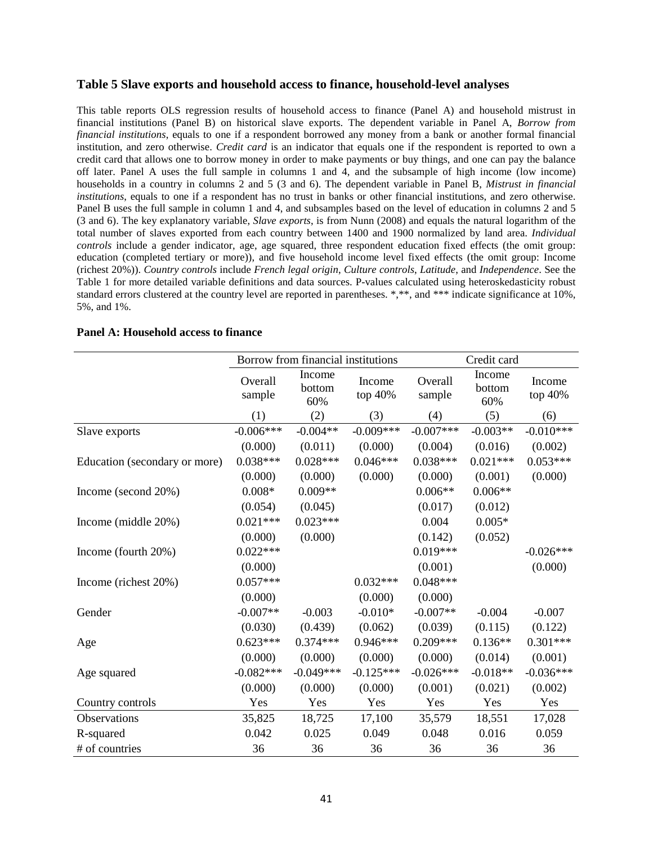### **Table 5 Slave exports and household access to finance, household-level analyses**

This table reports OLS regression results of household access to finance (Panel A) and household mistrust in financial institutions (Panel B) on historical slave exports. The dependent variable in Panel A, *Borrow from financial institutions*, equals to one if a respondent borrowed any money from a bank or another formal financial institution, and zero otherwise. *Credit card* is an indicator that equals one if the respondent is reported to own a credit card that allows one to borrow money in order to make payments or buy things, and one can pay the balance off later. Panel A uses the full sample in columns 1 and 4, and the subsample of high income (low income) households in a country in columns 2 and 5 (3 and 6). The dependent variable in Panel B, *Mistrust in financial institutions*, equals to one if a respondent has no trust in banks or other financial institutions, and zero otherwise. Panel B uses the full sample in column 1 and 4, and subsamples based on the level of education in columns 2 and 5 (3 and 6). The key explanatory variable, *Slave exports*, is from Nunn (2008) and equals the natural logarithm of the total number of slaves exported from each country between 1400 and 1900 normalized by land area. *Individual controls* include a gender indicator, age, age squared, three respondent education fixed effects (the omit group: education (completed tertiary or more)), and five household income level fixed effects (the omit group: Income (richest 20%)). *Country controls* include *French legal origin*, *Culture controls*, *Latitude*, and *Independence*. See the Table 1 for more detailed variable definitions and data sources. P-values calculated using heteroskedasticity robust standard errors clustered at the country level are reported in parentheses. \*,\*\*, and \*\*\* indicate significance at 10%, 5%, and 1%.

|                               | Borrow from financial institutions |                         |                   | Credit card       |                         |                   |  |
|-------------------------------|------------------------------------|-------------------------|-------------------|-------------------|-------------------------|-------------------|--|
|                               | Overall<br>sample                  | Income<br>bottom<br>60% | Income<br>top 40% | Overall<br>sample | Income<br>bottom<br>60% | Income<br>top 40% |  |
|                               | (1)                                | (2)                     | (3)               | (4)               | (5)                     | (6)               |  |
| Slave exports                 | $-0.006***$                        | $-0.004**$              | $-0.009***$       | $-0.007***$       | $-0.003**$              | $-0.010***$       |  |
|                               | (0.000)                            | (0.011)                 | (0.000)           | (0.004)           | (0.016)                 | (0.002)           |  |
| Education (secondary or more) | $0.038***$                         | $0.028***$              | $0.046***$        | $0.038***$        | $0.021***$              | $0.053***$        |  |
|                               | (0.000)                            | (0.000)                 | (0.000)           | (0.000)           | (0.001)                 | (0.000)           |  |
| Income (second 20%)           | $0.008*$                           | $0.009**$               |                   | $0.006**$         | $0.006**$               |                   |  |
|                               | (0.054)                            | (0.045)                 |                   | (0.017)           | (0.012)                 |                   |  |
| Income (middle 20%)           | $0.021***$                         | $0.023***$              |                   | 0.004             | $0.005*$                |                   |  |
|                               | (0.000)                            | (0.000)                 |                   | (0.142)           | (0.052)                 |                   |  |
| Income (fourth 20%)           | $0.022***$                         |                         |                   | $0.019***$        |                         | $-0.026***$       |  |
|                               | (0.000)                            |                         |                   | (0.001)           |                         | (0.000)           |  |
| Income (richest 20%)          | $0.057***$                         |                         | $0.032***$        | $0.048***$        |                         |                   |  |
|                               | (0.000)                            |                         | (0.000)           | (0.000)           |                         |                   |  |
| Gender                        | $-0.007**$                         | $-0.003$                | $-0.010*$         | $-0.007**$        | $-0.004$                | $-0.007$          |  |
|                               | (0.030)                            | (0.439)                 | (0.062)           | (0.039)           | (0.115)                 | (0.122)           |  |
| Age                           | $0.623***$                         | $0.374***$              | $0.946***$        | $0.209***$        | $0.136**$               | $0.301***$        |  |
|                               | (0.000)                            | (0.000)                 | (0.000)           | (0.000)           | (0.014)                 | (0.001)           |  |
| Age squared                   | $-0.082***$                        | $-0.049***$             | $-0.125***$       | $-0.026***$       | $-0.018**$              | $-0.036***$       |  |
|                               | (0.000)                            | (0.000)                 | (0.000)           | (0.001)           | (0.021)                 | (0.002)           |  |
| Country controls              | Yes                                | Yes                     | Yes               | Yes               | Yes                     | Yes               |  |
| Observations                  | 35,825                             | 18,725                  | 17,100            | 35,579            | 18,551                  | 17,028            |  |
| R-squared                     | 0.042                              | 0.025                   | 0.049             | 0.048             | 0.016                   | 0.059             |  |
| # of countries                | 36                                 | 36                      | 36                | 36                | 36                      | 36                |  |

#### **Panel A: Household access to finance**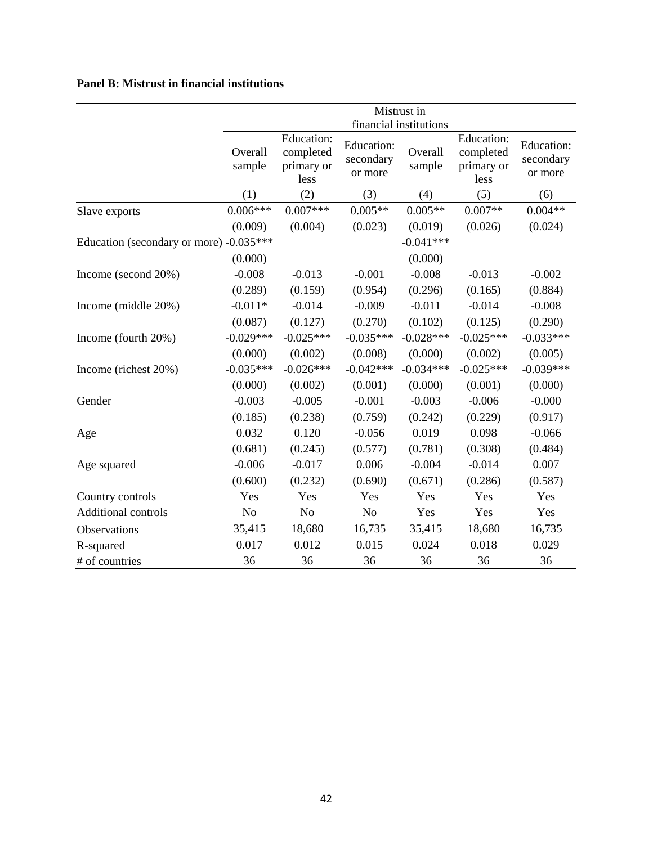# **Panel B: Mistrust in financial institutions**

|                                         | Mistrust in       |                                               |                                    |                        |                                               |                                           |
|-----------------------------------------|-------------------|-----------------------------------------------|------------------------------------|------------------------|-----------------------------------------------|-------------------------------------------|
|                                         |                   |                                               |                                    | financial institutions |                                               |                                           |
|                                         | Overall<br>sample | Education:<br>completed<br>primary or<br>less | Education:<br>secondary<br>or more | Overall<br>sample      | Education:<br>completed<br>primary or<br>less | <b>Education:</b><br>secondary<br>or more |
|                                         | (1)               | (2)                                           | (3)                                | (4)                    | (5)                                           | (6)                                       |
| Slave exports                           | $0.006***$        | $0.007***$                                    | $0.005**$                          | $0.005**$              | $0.007**$                                     | $0.004**$                                 |
|                                         | (0.009)           | (0.004)                                       | (0.023)                            | (0.019)                | (0.026)                                       | (0.024)                                   |
| Education (secondary or more) -0.035*** |                   |                                               |                                    | $-0.041***$            |                                               |                                           |
|                                         | (0.000)           |                                               |                                    | (0.000)                |                                               |                                           |
| Income (second 20%)                     | $-0.008$          | $-0.013$                                      | $-0.001$                           | $-0.008$               | $-0.013$                                      | $-0.002$                                  |
|                                         | (0.289)           | (0.159)                                       | (0.954)                            | (0.296)                | (0.165)                                       | (0.884)                                   |
| Income (middle 20%)                     | $-0.011*$         | $-0.014$                                      | $-0.009$                           | $-0.011$               | $-0.014$                                      | $-0.008$                                  |
|                                         | (0.087)           | (0.127)                                       | (0.270)                            | (0.102)                | (0.125)                                       | (0.290)                                   |
| Income (fourth 20%)                     | $-0.029***$       | $-0.025***$                                   | $-0.035***$                        | $-0.028***$            | $-0.025***$                                   | $-0.033***$                               |
|                                         | (0.000)           | (0.002)                                       | (0.008)                            | (0.000)                | (0.002)                                       | (0.005)                                   |
| Income (richest 20%)                    | $-0.035***$       | $-0.026***$                                   | $-0.042***$                        | $-0.034***$            | $-0.025***$                                   | $-0.039***$                               |
|                                         | (0.000)           | (0.002)                                       | (0.001)                            | (0.000)                | (0.001)                                       | (0.000)                                   |
| Gender                                  | $-0.003$          | $-0.005$                                      | $-0.001$                           | $-0.003$               | $-0.006$                                      | $-0.000$                                  |
|                                         | (0.185)           | (0.238)                                       | (0.759)                            | (0.242)                | (0.229)                                       | (0.917)                                   |
| Age                                     | 0.032             | 0.120                                         | $-0.056$                           | 0.019                  | 0.098                                         | $-0.066$                                  |
|                                         | (0.681)           | (0.245)                                       | (0.577)                            | (0.781)                | (0.308)                                       | (0.484)                                   |
| Age squared                             | $-0.006$          | $-0.017$                                      | 0.006                              | $-0.004$               | $-0.014$                                      | 0.007                                     |
|                                         | (0.600)           | (0.232)                                       | (0.690)                            | (0.671)                | (0.286)                                       | (0.587)                                   |
| Country controls                        | Yes               | Yes                                           | Yes                                | Yes                    | Yes                                           | Yes                                       |
| Additional controls                     | N <sub>o</sub>    | No                                            | No                                 | Yes                    | Yes                                           | Yes                                       |
| Observations                            | 35,415            | 18,680                                        | 16,735                             | 35,415                 | 18,680                                        | 16,735                                    |
| R-squared                               | 0.017             | 0.012                                         | 0.015                              | 0.024                  | 0.018                                         | 0.029                                     |
| # of countries                          | 36                | 36                                            | 36                                 | 36                     | 36                                            | 36                                        |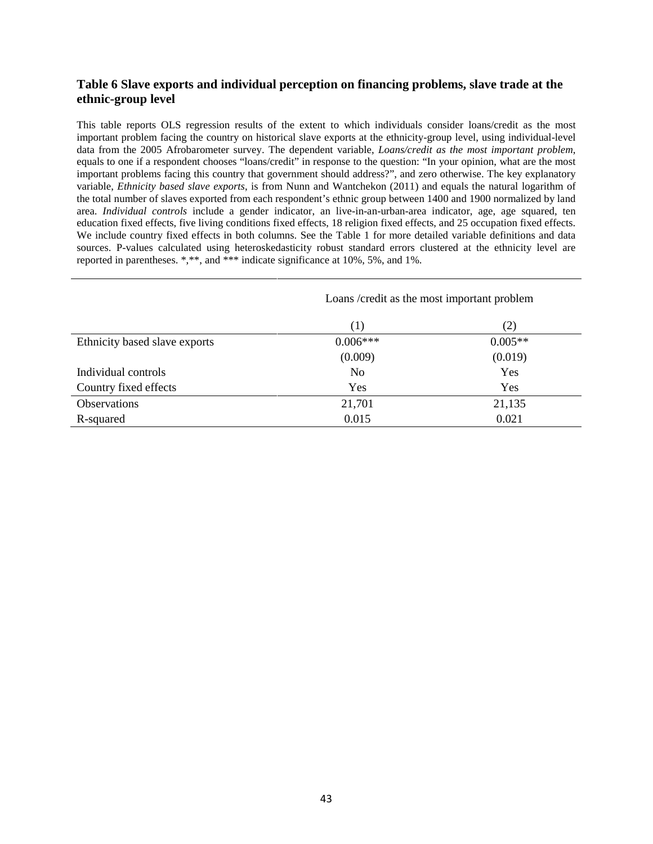### **Table 6 Slave exports and individual perception on financing problems, slave trade at the ethnic-group level**

This table reports OLS regression results of the extent to which individuals consider loans/credit as the most important problem facing the country on historical slave exports at the ethnicity-group level, using individual-level data from the 2005 Afrobarometer survey. The dependent variable, *Loans/credit as the most important problem*, equals to one if a respondent chooses "loans/credit" in response to the question: "In your opinion, what are the most important problems facing this country that government should address?", and zero otherwise. The key explanatory variable, *Ethnicity based slave exports*, is from Nunn and Wantchekon (2011) and equals the natural logarithm of the total number of slaves exported from each respondent's ethnic group between 1400 and 1900 normalized by land area. *Individual controls* include a gender indicator, an live-in-an-urban-area indicator, age, age squared, ten education fixed effects, five living conditions fixed effects, 18 religion fixed effects, and 25 occupation fixed effects. We include country fixed effects in both columns. See the Table 1 for more detailed variable definitions and data sources. P-values calculated using heteroskedasticity robust standard errors clustered at the ethnicity level are reported in parentheses. \*,\*\*, and \*\*\* indicate significance at 10%, 5%, and 1%.

|                               | Loans/credit as the most important problem |           |  |  |  |
|-------------------------------|--------------------------------------------|-----------|--|--|--|
|                               | (1)                                        | (2)       |  |  |  |
| Ethnicity based slave exports | $0.006***$                                 | $0.005**$ |  |  |  |
|                               | (0.009)                                    | (0.019)   |  |  |  |
| Individual controls           | N <sub>0</sub>                             | Yes       |  |  |  |
| Country fixed effects         | Yes                                        | Yes       |  |  |  |
| Observations                  | 21,701                                     | 21,135    |  |  |  |
| R-squared                     | 0.015                                      | 0.021     |  |  |  |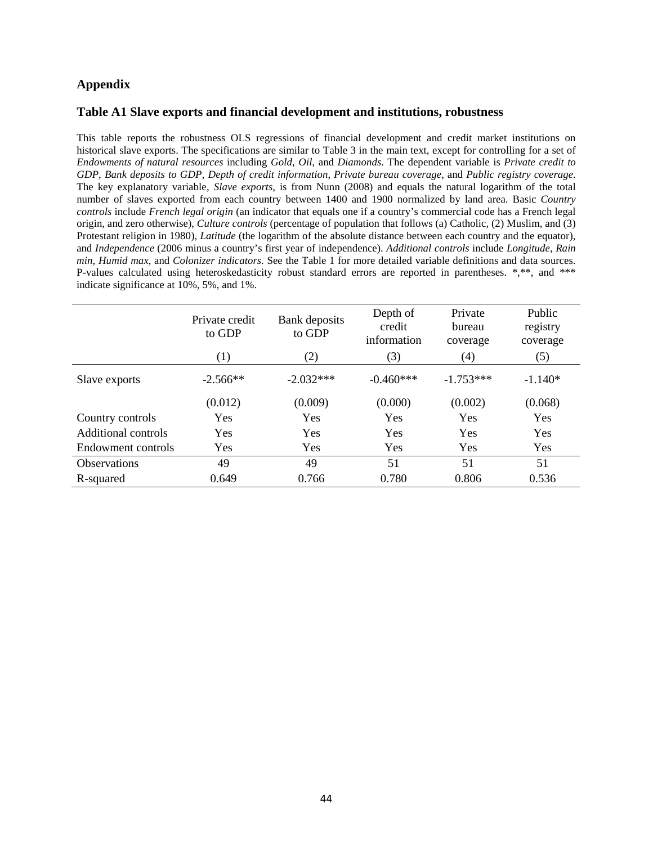### **Appendix**

### **Table A1 Slave exports and financial development and institutions, robustness**

This table reports the robustness OLS regressions of financial development and credit market institutions on historical slave exports. The specifications are similar to Table 3 in the main text, except for controlling for a set of *Endowments of natural resources* including *Gold*, *Oil*, and *Diamonds*. The dependent variable is *Private credit to GDP*, *Bank deposits to GDP*, *Depth of credit information*, *Private bureau coverage*, and *Public registry coverage*. The key explanatory variable, *Slave exports*, is from Nunn (2008) and equals the natural logarithm of the total number of slaves exported from each country between 1400 and 1900 normalized by land area. Basic *Country controls* include *French legal origin* (an indicator that equals one if a country's commercial code has a French legal origin, and zero otherwise), *Culture controls* (percentage of population that follows (a) Catholic, (2) Muslim, and (3) Protestant religion in 1980), *Latitude* (the logarithm of the absolute distance between each country and the equator), and *Independence* (2006 minus a country's first year of independence). *Additional controls* include *Longitude*, *Rain min*, *Humid max*, and *Colonizer indicators*. See the Table 1 for more detailed variable definitions and data sources. P-values calculated using heteroskedasticity robust standard errors are reported in parentheses. \*,\*\*, and \*\*\* indicate significance at 10%, 5%, and 1%.

|                     | Private credit<br>to GDP | Bank deposits<br>to GDP | Depth of<br>credit<br>information | Private<br>bureau<br>coverage | Public<br>registry<br>coverage |
|---------------------|--------------------------|-------------------------|-----------------------------------|-------------------------------|--------------------------------|
|                     | (1)                      | (2)                     | (3)                               | (4)                           | (5)                            |
| Slave exports       | $-2.566**$               | $-2.032***$             | $-0.460***$                       | $-1.753***$                   | $-1.140*$                      |
|                     | (0.012)                  | (0.009)                 | (0.000)                           | (0.002)                       | (0.068)                        |
| Country controls    | Yes                      | Yes                     | Yes                               | Yes                           | Yes                            |
| Additional controls | Yes                      | Yes                     | Yes                               | Yes                           | Yes                            |
| Endowment controls  | Yes                      | Yes                     | Yes                               | Yes                           | Yes                            |
| <b>Observations</b> | 49                       | 49                      | 51                                | 51                            | 51                             |
| R-squared           | 0.649                    | 0.766                   | 0.780                             | 0.806                         | 0.536                          |